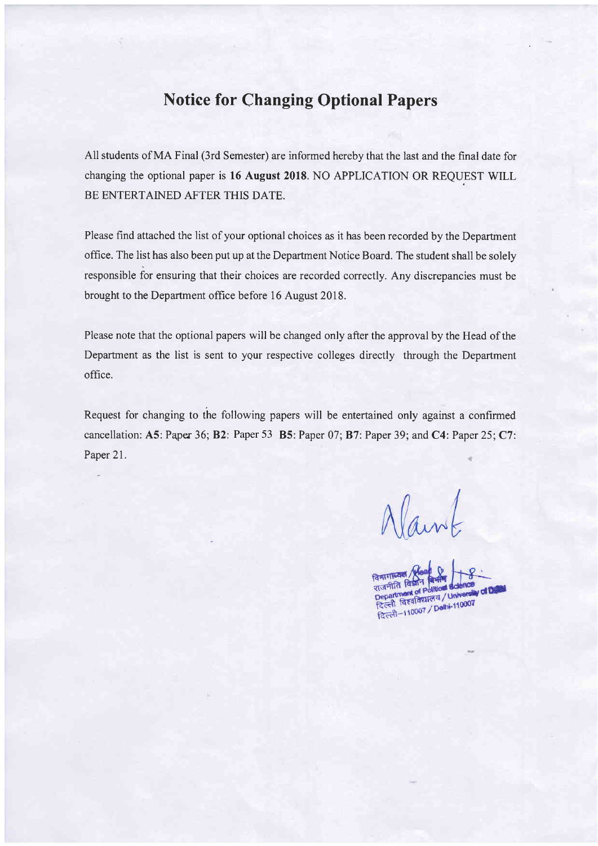## Notice for Changing Optional Papers

All students of MA Final (3rd Semester) are informed hereby that the last and the final date for changing the optional paper is 16 August 2018. NO APPLICATION OR REQUEST WILL BE ENTERTAINED AFTER THIS DATE.

Please find attached the list of your optional choices as it has been recorded by the Department office. The list has also been put up at the Department Notice Board. The student shall be solely responsible for ensuring that their choices are recorded correctly. Any discrepancies must be brought to the Department office before 16 August 2018.

Please note that the optional papers will be changed only after the approval by the Head of the Department as the list is sent to your respective colleges directly through the Department office.

Request for changing to the following papers will be entertained only against a confirmed cancellation: A5: Paper 36; B2: Paper 53 B5: Paper 07; B7: Paper 39; and C4: Paper 25; C7 Paper 21.

Vaint

Turific Testin Political Science<br>Department of Political / University of Di<br>दिल्ली विश्वविद्यालय / University of Di Department / University<br>दिल्ली विश्वविद्यालय / University<br>दिल्ली-110007 / Delhi-110007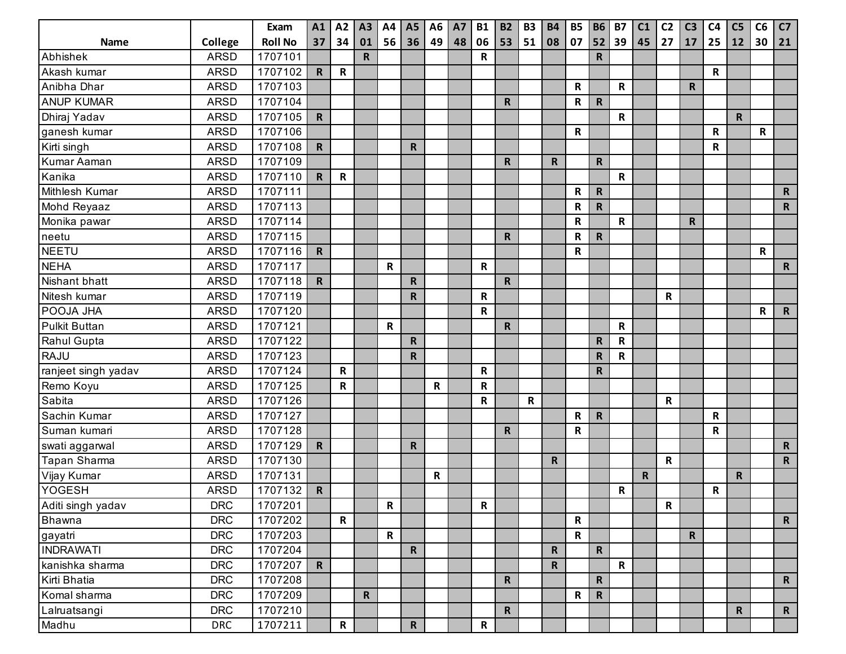|                      |             | Exam           | A1           | A2           | A3          | A4          | <b>A5</b>    | A <sub>6</sub> | <b>A7</b> | <b>B1</b>   | <b>B2</b>    | <b>B3</b>   | <b>B4</b>    | <b>B5</b>    | <b>B6</b>    | <b>B7</b>    | C1          | C <sub>2</sub> | C <sub>3</sub> | C <sub>4</sub> | C <sub>5</sub> | C6          | C7          |
|----------------------|-------------|----------------|--------------|--------------|-------------|-------------|--------------|----------------|-----------|-------------|--------------|-------------|--------------|--------------|--------------|--------------|-------------|----------------|----------------|----------------|----------------|-------------|-------------|
| Name                 | College     | <b>Roll No</b> | 37           | 34           | 01          | 56          | 36           | 49             | 48        | 06          | 53           | 51          | 08           | 07           | 52           | 39           | 45          | 27             | 17             | 25             | 12             | 30          | 21          |
| Abhishek             | <b>ARSD</b> | 1707101        |              |              | $\mathbf R$ |             |              |                |           | R           |              |             |              |              | $\mathsf R$  |              |             |                |                |                |                |             |             |
| Akash kumar          | <b>ARSD</b> | 1707102        | R            | $\mathsf{R}$ |             |             |              |                |           |             |              |             |              |              |              |              |             |                |                | $\mathbf R$    |                |             |             |
| Anibha Dhar          | <b>ARSD</b> | 1707103        |              |              |             |             |              |                |           |             |              |             |              | R            |              | $\mathsf R$  |             |                | R              |                |                |             |             |
| <b>ANUP KUMAR</b>    | <b>ARSD</b> | 1707104        |              |              |             |             |              |                |           |             | $\mathsf R$  |             |              | R            | $\mathsf{R}$ |              |             |                |                |                |                |             |             |
| Dhiraj Yadav         | <b>ARSD</b> | 1707105        | $\mathbf R$  |              |             |             |              |                |           |             |              |             |              |              |              | $\mathbf R$  |             |                |                |                | $\mathsf{R}$   |             |             |
| ganesh kumar         | <b>ARSD</b> | 1707106        |              |              |             |             |              |                |           |             |              |             |              | R            |              |              |             |                |                | R              |                | $\mathbf R$ |             |
| Kirti singh          | <b>ARSD</b> | 1707108        | ${\sf R}$    |              |             |             | R.           |                |           |             |              |             |              |              |              |              |             |                |                | $\mathbf R$    |                |             |             |
| Kumar Aaman          | <b>ARSD</b> | 1707109        |              |              |             |             |              |                |           |             | R            |             | R            |              | $\mathbf R$  |              |             |                |                |                |                |             |             |
| Kanika               | <b>ARSD</b> | 1707110        | $\mathsf{R}$ | $\mathbf R$  |             |             |              |                |           |             |              |             |              |              |              | $\mathsf R$  |             |                |                |                |                |             |             |
| Mithlesh Kumar       | <b>ARSD</b> | 1707111        |              |              |             |             |              |                |           |             |              |             |              | R            | ${\sf R}$    |              |             |                |                |                |                |             | $\mathbf R$ |
| Mohd Reyaaz          | <b>ARSD</b> | 1707113        |              |              |             |             |              |                |           |             |              |             |              | R            | $\mathsf{R}$ |              |             |                |                |                |                |             | $\mathbf R$ |
| Monika pawar         | <b>ARSD</b> | 1707114        |              |              |             |             |              |                |           |             |              |             |              | ${\sf R}$    |              | $\mathbf R$  |             |                | R              |                |                |             |             |
| neetu                | <b>ARSD</b> | 1707115        |              |              |             |             |              |                |           |             | $\mathsf R$  |             |              | R            | ${\sf R}$    |              |             |                |                |                |                |             |             |
| <b>NEETU</b>         | <b>ARSD</b> | 1707116        | $\mathsf{R}$ |              |             |             |              |                |           |             |              |             |              | R            |              |              |             |                |                |                |                | R           |             |
| <b>NEHA</b>          | <b>ARSD</b> | 1707117        |              |              |             | $\mathbf R$ |              |                |           | R           |              |             |              |              |              |              |             |                |                |                |                |             | $\mathbf R$ |
| Nishant bhatt        | <b>ARSD</b> | 1707118        | $\mathbf R$  |              |             |             | $\mathbf R$  |                |           |             | $\mathsf R$  |             |              |              |              |              |             |                |                |                |                |             |             |
| Nitesh kumar         | <b>ARSD</b> | 1707119        |              |              |             |             | $\mathbf R$  |                |           | R           |              |             |              |              |              |              |             | $\mathbf R$    |                |                |                |             |             |
| POOJA JHA            | <b>ARSD</b> | 1707120        |              |              |             |             |              |                |           | R           |              |             |              |              |              |              |             |                |                |                |                | R           | $\mathbf R$ |
| <b>Pulkit Buttan</b> | <b>ARSD</b> | 1707121        |              |              |             | $\mathbf R$ |              |                |           |             | ${\sf R}$    |             |              |              |              | ${\sf R}$    |             |                |                |                |                |             |             |
| Rahul Gupta          | <b>ARSD</b> | 1707122        |              |              |             |             | $\mathbf R$  |                |           |             |              |             |              |              | $\mathbf R$  | ${\sf R}$    |             |                |                |                |                |             |             |
| <b>RAJU</b>          | <b>ARSD</b> | 1707123        |              |              |             |             | $\mathbf R$  |                |           |             |              |             |              |              | $\mathsf R$  | ${\sf R}$    |             |                |                |                |                |             |             |
| ranjeet singh yadav  | <b>ARSD</b> | 1707124        |              | R            |             |             |              |                |           | $\mathsf R$ |              |             |              |              | $\mathbf R$  |              |             |                |                |                |                |             |             |
| Remo Koyu            | <b>ARSD</b> | 1707125        |              | $\mathsf{R}$ |             |             |              | R              |           | R           |              |             |              |              |              |              |             |                |                |                |                |             |             |
| Sabita               | <b>ARSD</b> | 1707126        |              |              |             |             |              |                |           | R           |              | $\mathsf R$ |              |              |              |              |             | $\mathbf R$    |                |                |                |             |             |
| Sachin Kumar         | <b>ARSD</b> | 1707127        |              |              |             |             |              |                |           |             |              |             |              | R            | $\mathsf{R}$ |              |             |                |                | $\mathbf R$    |                |             |             |
| Suman kumari         | <b>ARSD</b> | 1707128        |              |              |             |             |              |                |           |             | $\mathsf R$  |             |              | R            |              |              |             |                |                | $\mathbf R$    |                |             |             |
| swati aggarwal       | <b>ARSD</b> | 1707129        | $\mathsf{R}$ |              |             |             | $\mathbf R$  |                |           |             |              |             |              |              |              |              |             |                |                |                |                |             | $\mathbf R$ |
| Tapan Sharma         | <b>ARSD</b> | 1707130        |              |              |             |             |              |                |           |             |              |             | $\mathsf{R}$ |              |              |              |             | $\mathbf R$    |                |                |                |             | $\mathbf R$ |
| Vijay Kumar          | <b>ARSD</b> | 1707131        |              |              |             |             |              | R              |           |             |              |             |              |              |              |              | $\mathbf R$ |                |                |                | $\mathsf{R}$   |             |             |
| <b>YOGESH</b>        | <b>ARSD</b> | 1707132        | ${\sf R}$    |              |             |             |              |                |           |             |              |             |              |              |              | ${\sf R}$    |             |                |                | $\mathbf R$    |                |             |             |
| Aditi singh yadav    | <b>DRC</b>  | 1707201        |              |              |             | $\mathbf R$ |              |                |           | $\mathbf R$ |              |             |              |              |              |              |             | $\mathbf R$    |                |                |                |             |             |
| Bhawna               | <b>DRC</b>  | 1707202        |              | $\mathsf{R}$ |             |             |              |                |           |             |              |             |              | $\mathsf R$  |              |              |             |                |                |                |                |             | $\mathbf R$ |
| gayatri              | <b>DRC</b>  | 1707203        |              |              |             | $\mathbf R$ |              |                |           |             |              |             |              | $\mathsf{R}$ |              |              |             |                | $\mathsf{R}$   |                |                |             |             |
| <b>INDRAWATI</b>     | <b>DRC</b>  | 1707204        |              |              |             |             | $\mathbf R$  |                |           |             |              |             | $\mathbf R$  |              | $\mathsf R$  |              |             |                |                |                |                |             |             |
| kanishka sharma      | <b>DRC</b>  | 1707207        | $\mathsf{R}$ |              |             |             |              |                |           |             |              |             | $\mathsf{R}$ |              |              | $\mathsf{R}$ |             |                |                |                |                |             |             |
| Kirti Bhatia         | <b>DRC</b>  | 1707208        |              |              |             |             |              |                |           |             | $\mathsf{R}$ |             |              |              | $\mathsf R$  |              |             |                |                |                |                |             | $\mathbf R$ |
| Komal sharma         | <b>DRC</b>  | 1707209        |              |              | $\mathbf R$ |             |              |                |           |             |              |             |              | $\mathbf R$  | ${\sf R}$    |              |             |                |                |                |                |             |             |
| Lalruatsangi         | <b>DRC</b>  | 1707210        |              |              |             |             |              |                |           |             | $\mathbf R$  |             |              |              |              |              |             |                |                |                | $\mathsf{R}$   |             | $\mathbf R$ |
| Madhu                | <b>DRC</b>  | 1707211        |              | $\mathbf R$  |             |             | $\mathsf{R}$ |                |           | $\mathbf R$ |              |             |              |              |              |              |             |                |                |                |                |             |             |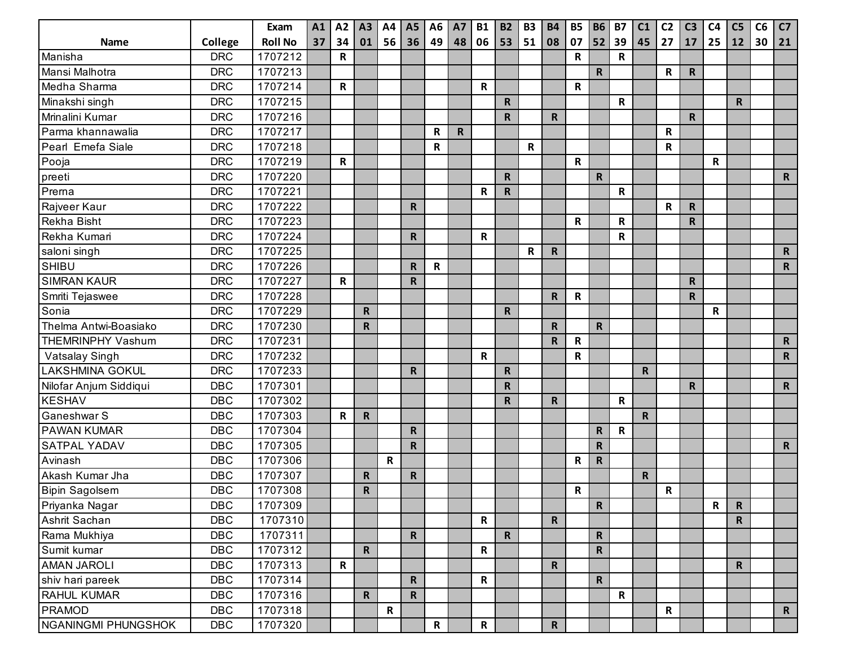|                          |            | Exam           | A1 | A2           | A3          | A4          | <b>A5</b>    | A <sub>6</sub> | <b>A7</b>    | <b>B1</b>    | <b>B2</b>    | <b>B3</b>   | <b>B4</b>    | <b>B5</b>   | <b>B6</b>    | <b>B7</b>   | C1           | C <sub>2</sub> | C <sub>3</sub> | C <sub>4</sub> | C <sub>5</sub> | C6 | C7           |
|--------------------------|------------|----------------|----|--------------|-------------|-------------|--------------|----------------|--------------|--------------|--------------|-------------|--------------|-------------|--------------|-------------|--------------|----------------|----------------|----------------|----------------|----|--------------|
| Name                     | College    | <b>Roll No</b> | 37 | 34           | 01          | 56          | 36           | 49             | 48           | 06           | 53           | 51          | 08           | 07          | 52           | 39          | 45           | 27             | 17             | 25             | 12             | 30 | 21           |
| Manisha                  | <b>DRC</b> | 1707212        |    | R            |             |             |              |                |              |              |              |             |              | R           |              | $\mathsf R$ |              |                |                |                |                |    |              |
| Mansi Malhotra           | <b>DRC</b> | 1707213        |    |              |             |             |              |                |              |              |              |             |              |             | $\mathbf R$  |             |              | $\mathbf R$    | $\mathbf R$    |                |                |    |              |
| Medha Sharma             | <b>DRC</b> | 1707214        |    | $\mathsf{R}$ |             |             |              |                |              | R            |              |             |              | $\mathsf R$ |              |             |              |                |                |                |                |    |              |
| Minakshi singh           | <b>DRC</b> | 1707215        |    |              |             |             |              |                |              |              | $\mathsf R$  |             |              |             |              | R           |              |                |                |                | $\mathbf R$    |    |              |
| Mrinalini Kumar          | <b>DRC</b> | 1707216        |    |              |             |             |              |                |              |              | $\mathbf R$  |             | R.           |             |              |             |              |                | $\mathsf{R}$   |                |                |    |              |
| Parma khannawalia        | <b>DRC</b> | 1707217        |    |              |             |             |              | R              | $\mathsf{R}$ |              |              |             |              |             |              |             |              | R              |                |                |                |    |              |
| Pearl Emefa Siale        | <b>DRC</b> | 1707218        |    |              |             |             |              | R              |              |              |              | $\mathbf R$ |              |             |              |             |              | $\mathsf R$    |                |                |                |    |              |
| Pooja                    | <b>DRC</b> | 1707219        |    | R            |             |             |              |                |              |              |              |             |              | $\mathsf R$ |              |             |              |                |                | R              |                |    |              |
| preeti                   | <b>DRC</b> | 1707220        |    |              |             |             |              |                |              |              | $\mathsf{R}$ |             |              |             | $\mathbf R$  |             |              |                |                |                |                |    | $\mathsf{R}$ |
| Prema                    | <b>DRC</b> | 1707221        |    |              |             |             |              |                |              | R            | $\mathsf R$  |             |              |             |              | R           |              |                |                |                |                |    |              |
| Rajveer Kaur             | <b>DRC</b> | 1707222        |    |              |             |             | $\mathsf{R}$ |                |              |              |              |             |              |             |              |             |              | $\mathbf R$    | R              |                |                |    |              |
| Rekha Bisht              | <b>DRC</b> | 1707223        |    |              |             |             |              |                |              |              |              |             |              | $\mathsf R$ |              | $\mathsf R$ |              |                | $\mathsf R$    |                |                |    |              |
| Rekha Kumari             | <b>DRC</b> | 1707224        |    |              |             |             | R            |                |              | R            |              |             |              |             |              | R           |              |                |                |                |                |    |              |
| saloni singh             | <b>DRC</b> | 1707225        |    |              |             |             |              |                |              |              |              | R           | $\mathsf{R}$ |             |              |             |              |                |                |                |                |    | $\mathbf R$  |
| <b>SHIBU</b>             | <b>DRC</b> | 1707226        |    |              |             |             | $\mathbf R$  | $\mathsf R$    |              |              |              |             |              |             |              |             |              |                |                |                |                |    | $\mathsf{R}$ |
| <b>SIMRAN KAUR</b>       | <b>DRC</b> | 1707227        |    | R            |             |             | R.           |                |              |              |              |             |              |             |              |             |              |                | $\mathbf R$    |                |                |    |              |
| Smriti Tejaswee          | <b>DRC</b> | 1707228        |    |              |             |             |              |                |              |              |              |             | R.           | R           |              |             |              |                | $\mathbf R$    |                |                |    |              |
| Sonia                    | <b>DRC</b> | 1707229        |    |              | $\mathbf R$ |             |              |                |              |              | $\mathsf{R}$ |             |              |             |              |             |              |                |                | $\mathsf R$    |                |    |              |
| Thelma Antwi-Boasiako    | <b>DRC</b> | 1707230        |    |              | R           |             |              |                |              |              |              |             | R.           |             | $\mathbf R$  |             |              |                |                |                |                |    |              |
| <b>THEMRINPHY Vashum</b> | <b>DRC</b> | 1707231        |    |              |             |             |              |                |              |              |              |             | R.           | $\mathsf R$ |              |             |              |                |                |                |                |    | $\mathbf R$  |
| Vatsalay Singh           | <b>DRC</b> | 1707232        |    |              |             |             |              |                |              | R            |              |             |              | R           |              |             |              |                |                |                |                |    | $\mathsf{R}$ |
| <b>LAKSHMINA GOKUL</b>   | <b>DRC</b> | 1707233        |    |              |             |             | R            |                |              |              | $\mathsf R$  |             |              |             |              |             | R            |                |                |                |                |    |              |
| Nilofar Anjum Siddiqui   | <b>DBC</b> | 1707301        |    |              |             |             |              |                |              |              | $\mathbf R$  |             |              |             |              |             |              |                | $\mathsf{R}$   |                |                |    | $\mathsf{R}$ |
| <b>KESHAV</b>            | <b>DBC</b> | 1707302        |    |              |             |             |              |                |              |              | $\mathsf{R}$ |             | R.           |             |              | $\mathsf R$ |              |                |                |                |                |    |              |
| Ganeshwar S              | <b>DBC</b> | 1707303        |    | R            | $\mathsf R$ |             |              |                |              |              |              |             |              |             |              |             | $\mathsf{R}$ |                |                |                |                |    |              |
| <b>PAWAN KUMAR</b>       | <b>DBC</b> | 1707304        |    |              |             |             | $\mathbf R$  |                |              |              |              |             |              |             | $\mathbf R$  | R           |              |                |                |                |                |    |              |
| <b>SATPAL YADAV</b>      | <b>DBC</b> | 1707305        |    |              |             |             | $\mathbf R$  |                |              |              |              |             |              |             | $\mathbf R$  |             |              |                |                |                |                |    | $\mathsf{R}$ |
| Avinash                  | <b>DBC</b> | 1707306        |    |              |             | $\mathsf R$ |              |                |              |              |              |             |              | R           | $\mathsf{R}$ |             |              |                |                |                |                |    |              |
| Akash Kumar Jha          | <b>DBC</b> | 1707307        |    |              | $\mathbf R$ |             | $\mathbf R$  |                |              |              |              |             |              |             |              |             | $\mathsf{R}$ |                |                |                |                |    |              |
| <b>Bipin Sagolsem</b>    | <b>DBC</b> | 1707308        |    |              | R           |             |              |                |              |              |              |             |              | R           |              |             |              | R              |                |                |                |    |              |
| Priyanka Nagar           | <b>DBC</b> | 1707309        |    |              |             |             |              |                |              |              |              |             |              |             | $\mathbf R$  |             |              |                |                | $\mathsf{R}$   | $\mathsf{R}$   |    |              |
| Ashrit Sachan            | <b>DBC</b> | 1707310        |    |              |             |             |              |                |              | $\mathsf{R}$ |              |             | $\mathsf{R}$ |             |              |             |              |                |                |                | $\mathsf{R}$   |    |              |
| Rama Mukhiya             | <b>DBC</b> | 1707311        |    |              |             |             | $\mathbf R$  |                |              |              | ${\sf R}$    |             |              |             | $\mathbf R$  |             |              |                |                |                |                |    |              |
| Sumit kumar              | <b>DBC</b> | 1707312        |    |              | $\mathbf R$ |             |              |                |              | R            |              |             |              |             | $\mathbf R$  |             |              |                |                |                |                |    |              |
| <b>AMAN JAROLI</b>       | <b>DBC</b> | 1707313        |    | $\mathsf{R}$ |             |             |              |                |              |              |              |             | $\mathbf R$  |             |              |             |              |                |                |                | $\mathsf{R}$   |    |              |
| shiv hari pareek         | <b>DBC</b> | 1707314        |    |              |             |             | $\mathsf{R}$ |                |              | $\mathsf{R}$ |              |             |              |             | $\mathbf R$  |             |              |                |                |                |                |    |              |
| RAHUL KUMAR              | <b>DBC</b> | 1707316        |    |              | $\mathbf R$ |             | $\mathsf{R}$ |                |              |              |              |             |              |             |              | R           |              |                |                |                |                |    |              |
| <b>PRAMOD</b>            | <b>DBC</b> | 1707318        |    |              |             | ${\sf R}$   |              |                |              |              |              |             |              |             |              |             |              | $\mathbf R$    |                |                |                |    | $\mathsf{R}$ |
| NGANINGMI PHUNGSHOK      | <b>DBC</b> | 1707320        |    |              |             |             |              | $\mathsf{R}$   |              | $\mathsf{R}$ |              |             | $\mathsf{R}$ |             |              |             |              |                |                |                |                |    |              |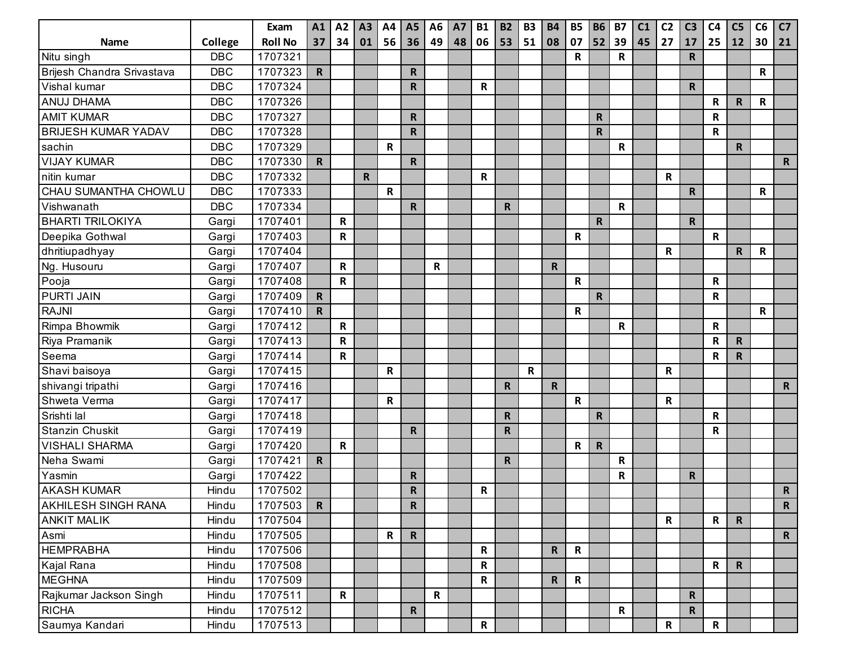|                            |            | Exam           | A1           | A2          | A3           | A4          | <b>A5</b>    | A <sub>6</sub> | <b>A7</b> | <b>B1</b>    | <b>B2</b>    | <b>B3</b>   | <b>B4</b>    | <b>B5</b>   | <b>B6</b>    | <b>B7</b>   | C <sub>1</sub> | C <sub>2</sub> | C <sub>3</sub> | C <sub>4</sub> | C <sub>5</sub> | C6 | C <sub>7</sub> |
|----------------------------|------------|----------------|--------------|-------------|--------------|-------------|--------------|----------------|-----------|--------------|--------------|-------------|--------------|-------------|--------------|-------------|----------------|----------------|----------------|----------------|----------------|----|----------------|
| <b>Name</b>                | College    | <b>Roll No</b> | 37           | 34          | 01           | 56          | 36           | 49             | 48        | 06           | 53           | 51          | 08           | 07          | 52           | 39          | 45             | 27             | 17             | 25             | 12             | 30 | 21             |
| Nitu singh                 | <b>DBC</b> | 1707321        |              |             |              |             |              |                |           |              |              |             |              | R           |              | R           |                |                | $\mathsf{R}$   |                |                |    |                |
| Brijesh Chandra Srivastava | <b>DBC</b> | 1707323        | R            |             |              |             | $\mathsf{R}$ |                |           |              |              |             |              |             |              |             |                |                |                |                |                | R  |                |
| Vishal kumar               | <b>DBC</b> | 1707324        |              |             |              |             | $\mathsf{R}$ |                |           | R            |              |             |              |             |              |             |                |                | $\mathsf{R}$   |                |                |    |                |
| ANUJ DHAMA                 | <b>DBC</b> | 1707326        |              |             |              |             |              |                |           |              |              |             |              |             |              |             |                |                |                | R              | $\mathbf R$    | R  |                |
| <b>AMIT KUMAR</b>          | <b>DBC</b> | 1707327        |              |             |              |             | $\mathsf{R}$ |                |           |              |              |             |              |             | $\mathsf{R}$ |             |                |                |                | R              |                |    |                |
| <b>BRIJESH KUMAR YADAV</b> | <b>DBC</b> | 1707328        |              |             |              |             | $\mathsf{R}$ |                |           |              |              |             |              |             | $\mathsf R$  |             |                |                |                | R              |                |    |                |
| sachin                     | <b>DBC</b> | 1707329        |              |             |              | R           |              |                |           |              |              |             |              |             |              | $\mathsf R$ |                |                |                |                | $\mathbf R$    |    |                |
| <b>VIJAY KUMAR</b>         | <b>DBC</b> | 1707330        | R            |             |              |             | $\mathsf{R}$ |                |           |              |              |             |              |             |              |             |                |                |                |                |                |    | $\mathbf R$    |
| nitin kumar                | <b>DBC</b> | 1707332        |              |             | $\mathsf{R}$ |             |              |                |           | R            |              |             |              |             |              |             |                | R              |                |                |                |    |                |
| CHAU SUMANTHA CHOWLU       | <b>DBC</b> | 1707333        |              |             |              | $\mathsf R$ |              |                |           |              |              |             |              |             |              |             |                |                | $\mathsf{R}$   |                |                | R  |                |
| Vishwanath                 | <b>DBC</b> | 1707334        |              |             |              |             | $\mathsf{R}$ |                |           |              | $\mathsf{R}$ |             |              |             |              | $\mathsf R$ |                |                |                |                |                |    |                |
| <b>BHARTI TRILOKIYA</b>    | Gargi      | 1707401        |              | R           |              |             |              |                |           |              |              |             |              |             | $\mathbf R$  |             |                |                | $\mathsf{R}$   |                |                |    |                |
| Deepika Gothwal            | Gargi      | 1707403        |              | R           |              |             |              |                |           |              |              |             |              | R           |              |             |                |                |                | $\mathbf R$    |                |    |                |
| dhritiupadhyay             | Gargi      | 1707404        |              |             |              |             |              |                |           |              |              |             |              |             |              |             |                | R              |                |                | $\mathsf{R}$   | R  |                |
| Ng. Husouru                | Gargi      | 1707407        |              | $\mathsf R$ |              |             |              | R              |           |              |              |             | $\mathbf R$  |             |              |             |                |                |                |                |                |    |                |
| Pooja                      | Gargi      | 1707408        |              | $\mathbf R$ |              |             |              |                |           |              |              |             |              | $\mathsf R$ |              |             |                |                |                | R              |                |    |                |
| <b>PURTI JAIN</b>          | Gargi      | 1707409        | $\mathbf R$  |             |              |             |              |                |           |              |              |             |              |             | $\mathbf R$  |             |                |                |                | R              |                |    |                |
| <b>RAJNI</b>               | Gargi      | 1707410        | $\mathsf{R}$ |             |              |             |              |                |           |              |              |             |              | R           |              |             |                |                |                |                |                | R  |                |
| Rimpa Bhowmik              | Gargi      | 1707412        |              | $\mathbf R$ |              |             |              |                |           |              |              |             |              |             |              | $\mathsf R$ |                |                |                | R              |                |    |                |
| Riya Pramanik              | Gargi      | 1707413        |              | $\mathbf R$ |              |             |              |                |           |              |              |             |              |             |              |             |                |                |                | R              | $\mathsf{R}$   |    |                |
| Seema                      | Gargi      | 1707414        |              | $\mathbf R$ |              |             |              |                |           |              |              |             |              |             |              |             |                |                |                | $\mathsf R$    | $\mathsf R$    |    |                |
| Shavi baisoya              | Gargi      | 1707415        |              |             |              | R           |              |                |           |              |              | $\mathbf R$ |              |             |              |             |                | R              |                |                |                |    |                |
| shivangi tripathi          | Gargi      | 1707416        |              |             |              |             |              |                |           |              | $\mathsf{R}$ |             | R.           |             |              |             |                |                |                |                |                |    | $\mathbf R$    |
| Shweta Verma               | Gargi      | 1707417        |              |             |              | R           |              |                |           |              |              |             |              | $\mathsf R$ |              |             |                | R              |                |                |                |    |                |
| Srishti lal                | Gargi      | 1707418        |              |             |              |             |              |                |           |              | $\mathsf R$  |             |              |             | $\mathsf R$  |             |                |                |                | R              |                |    |                |
| Stanzin Chuskit            | Gargi      | 1707419        |              |             |              |             | $\mathsf{R}$ |                |           |              | $\mathbf R$  |             |              |             |              |             |                |                |                | R              |                |    |                |
| <b>VISHALI SHARMA</b>      | Gargi      | 1707420        |              | $\mathbf R$ |              |             |              |                |           |              |              |             |              | R           | $\mathbf R$  |             |                |                |                |                |                |    |                |
| Neha Swami                 | Gargi      | 1707421        | $\mathsf{R}$ |             |              |             |              |                |           |              | $\mathsf R$  |             |              |             |              | $\mathsf R$ |                |                |                |                |                |    |                |
| Yasmin                     | Gargi      | 1707422        |              |             |              |             | R.           |                |           |              |              |             |              |             |              | $\mathsf R$ |                |                | $\mathsf{R}$   |                |                |    |                |
| <b>AKASH KUMAR</b>         | Hindu      | 1707502        |              |             |              |             | $\mathsf{R}$ |                |           | R            |              |             |              |             |              |             |                |                |                |                |                |    | $\mathsf{R}$   |
| <b>AKHILESH SINGH RANA</b> | Hindu      | 1707503        | $\mathbf R$  |             |              |             | R            |                |           |              |              |             |              |             |              |             |                |                |                |                |                |    | $\mathsf{R}$   |
| <b>ANKIT MALIK</b>         | Hindu      | 1707504        |              |             |              |             |              |                |           |              |              |             |              |             |              |             |                | $\mathbf R$    |                | $\mathsf{R}$   | $\mathbf R$    |    |                |
| Asmi                       | Hindu      | 1707505        |              |             |              | $\mathsf R$ | $\mathbf R$  |                |           |              |              |             |              |             |              |             |                |                |                |                |                |    | $\mathsf{R}$   |
| <b>HEMPRABHA</b>           | Hindu      | 1707506        |              |             |              |             |              |                |           | R            |              |             | $\mathsf{R}$ | $\mathbf R$ |              |             |                |                |                |                |                |    |                |
| Kajal Rana                 | Hindu      | 1707508        |              |             |              |             |              |                |           | R            |              |             |              |             |              |             |                |                |                | $\mathsf{R}$   | $\mathsf{R}$   |    |                |
| <b>MEGHNA</b>              | Hindu      | 1707509        |              |             |              |             |              |                |           | R            |              |             | $\mathbf R$  | $\mathbf R$ |              |             |                |                |                |                |                |    |                |
| Rajkumar Jackson Singh     | Hindu      | 1707511        |              | R           |              |             |              | R              |           |              |              |             |              |             |              |             |                |                | $\mathbf R$    |                |                |    |                |
| <b>RICHA</b>               | Hindu      | 1707512        |              |             |              |             | $\mathbf R$  |                |           |              |              |             |              |             |              | $\mathsf R$ |                |                | $\mathbf R$    |                |                |    |                |
| Saumya Kandari             | Hindu      | 1707513        |              |             |              |             |              |                |           | $\mathsf{R}$ |              |             |              |             |              |             |                | $\mathbf R$    |                | $\mathsf{R}$   |                |    |                |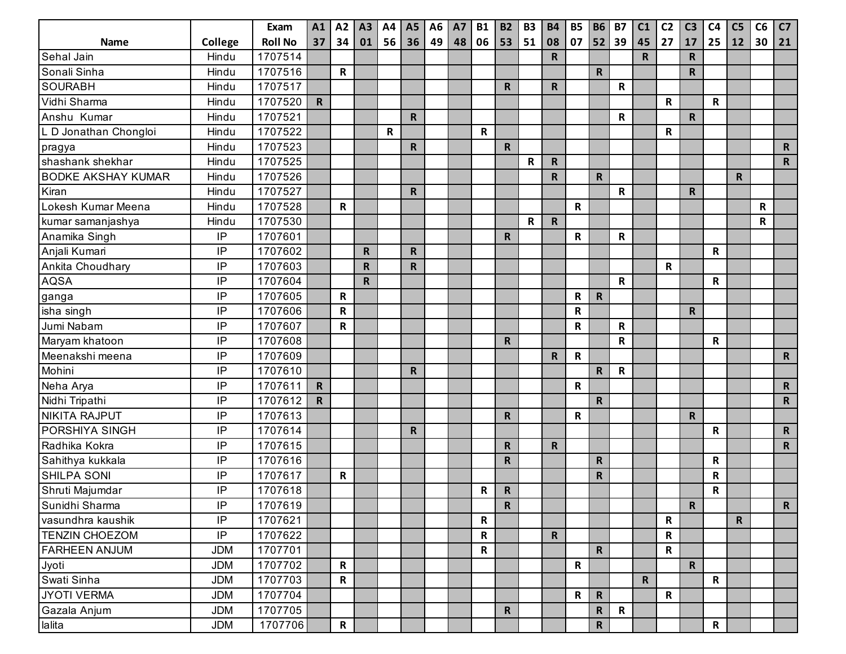|                           |            | Exam           | A1           | A2           | A3           | A4          | A <sub>5</sub> | A <sub>6</sub> | <b>A7</b> | <b>B1</b>    | <b>B2</b>    | <b>B3</b>   | <b>B4</b>    | <b>B5</b>    | <b>B6</b>    | <b>B7</b>   | C1          | C <sub>2</sub> | C <sub>3</sub> | C <sub>4</sub> | C <sub>5</sub> | C6 | C7           |
|---------------------------|------------|----------------|--------------|--------------|--------------|-------------|----------------|----------------|-----------|--------------|--------------|-------------|--------------|--------------|--------------|-------------|-------------|----------------|----------------|----------------|----------------|----|--------------|
| Name                      | College    | <b>Roll No</b> | 37           | 34           | 01           | 56          | 36             | 49             | 48        | 06           | 53           | 51          | 08           | 07           | 52           | 39          | 45          | 27             | 17             | 25             | 12             | 30 | 21           |
| Sehal Jain                | Hindu      | 1707514        |              |              |              |             |                |                |           |              |              |             | $\mathsf{R}$ |              |              |             | $\mathsf R$ |                | ${\sf R}$      |                |                |    |              |
| Sonali Sinha              | Hindu      | 1707516        |              | $\mathbf R$  |              |             |                |                |           |              |              |             |              |              | $\mathbf R$  |             |             |                | $\mathbf R$    |                |                |    |              |
| <b>SOURABH</b>            | Hindu      | 1707517        |              |              |              |             |                |                |           |              | $\mathsf{R}$ |             | $\mathbf R$  |              |              | $\mathsf R$ |             |                |                |                |                |    |              |
| Vidhi Sharma              | Hindu      | 1707520        | $\mathbf R$  |              |              |             |                |                |           |              |              |             |              |              |              |             |             | R              |                | $\mathbf R$    |                |    |              |
| Anshu Kumar               | Hindu      | 1707521        |              |              |              |             | $\mathsf{R}$   |                |           |              |              |             |              |              |              | R           |             |                | $\mathsf{R}$   |                |                |    |              |
| L D Jonathan Chongloi     | Hindu      | 1707522        |              |              |              | $\mathbf R$ |                |                |           | $\mathsf{R}$ |              |             |              |              |              |             |             | $\mathbf R$    |                |                |                |    |              |
| pragya                    | Hindu      | 1707523        |              |              |              |             | $\mathbf R$    |                |           |              | $\mathbf R$  |             |              |              |              |             |             |                |                |                |                |    | $\mathsf{R}$ |
| shashank shekhar          | Hindu      | 1707525        |              |              |              |             |                |                |           |              |              | $\mathbf R$ | $\mathsf{R}$ |              |              |             |             |                |                |                |                |    | $\mathsf{R}$ |
| <b>BODKE AKSHAY KUMAR</b> | Hindu      | 1707526        |              |              |              |             |                |                |           |              |              |             | $\mathsf{R}$ |              | $\mathsf{R}$ |             |             |                |                |                | $\mathbf R$    |    |              |
| Kiran                     | Hindu      | 1707527        |              |              |              |             | $\mathsf{R}$   |                |           |              |              |             |              |              |              | ${\sf R}$   |             |                | $\mathsf{R}$   |                |                |    |              |
| Lokesh Kumar Meena        | Hindu      | 1707528        |              | $\mathsf{R}$ |              |             |                |                |           |              |              |             |              | R            |              |             |             |                |                |                |                | R  |              |
| kumar samanjashya         | Hindu      | 1707530        |              |              |              |             |                |                |           |              |              | $\mathbf R$ | $\mathbf R$  |              |              |             |             |                |                |                |                | R  |              |
| Anamika Singh             | IP         | 1707601        |              |              |              |             |                |                |           |              | $\mathbf R$  |             |              | $\mathbf R$  |              | $\mathsf R$ |             |                |                |                |                |    |              |
| Anjali Kumari             | IP         | 1707602        |              |              | $\mathsf{R}$ |             | $\mathsf{R}$   |                |           |              |              |             |              |              |              |             |             |                |                | R              |                |    |              |
| Ankita Choudhary          | IP         | 1707603        |              |              | $\mathsf{R}$ |             | $\mathsf R$    |                |           |              |              |             |              |              |              |             |             | R              |                |                |                |    |              |
| <b>AQSA</b>               | IP         | 1707604        |              |              | $\mathsf{R}$ |             |                |                |           |              |              |             |              |              |              | $\mathsf R$ |             |                |                | $\mathbf R$    |                |    |              |
| ganga                     | IP         | 1707605        |              | $\mathbf R$  |              |             |                |                |           |              |              |             |              | R            | $\mathbf R$  |             |             |                |                |                |                |    |              |
| isha singh                | IP         | 1707606        |              | $\mathbf R$  |              |             |                |                |           |              |              |             |              | $\mathbf R$  |              |             |             |                | $\mathbf R$    |                |                |    |              |
| Jumi Nabam                | IP         | 1707607        |              | ${\sf R}$    |              |             |                |                |           |              |              |             |              | R            |              | $\mathsf R$ |             |                |                |                |                |    |              |
| Maryam khatoon            | IP         | 1707608        |              |              |              |             |                |                |           |              | $\mathbf R$  |             |              |              |              | $\mathsf R$ |             |                |                | R              |                |    |              |
| Meenakshi meena           | IP         | 1707609        |              |              |              |             |                |                |           |              |              |             | $\mathsf{R}$ | $\mathbf R$  |              |             |             |                |                |                |                |    | $\mathsf{R}$ |
| Mohini                    | IP         | 1707610        |              |              |              |             | $\mathsf{R}$   |                |           |              |              |             |              |              | ${\sf R}$    | ${\sf R}$   |             |                |                |                |                |    |              |
| Neha Arya                 | IP         | 1707611        | $\mathsf{R}$ |              |              |             |                |                |           |              |              |             |              | $\mathbf R$  |              |             |             |                |                |                |                |    | $\mathsf{R}$ |
| Nidhi Tripathi            | IP         | 1707612        | $\mathsf{R}$ |              |              |             |                |                |           |              |              |             |              |              | $\mathsf{R}$ |             |             |                |                |                |                |    | $\mathsf{R}$ |
| <b>NIKITA RAJPUT</b>      | IP         | 1707613        |              |              |              |             |                |                |           |              | $\mathbf R$  |             |              | $\mathbf R$  |              |             |             |                | $\mathbf R$    |                |                |    |              |
| PORSHIYA SINGH            | IP         | 1707614        |              |              |              |             | $\mathsf{R}$   |                |           |              |              |             |              |              |              |             |             |                |                | R              |                |    | $\mathsf{R}$ |
| Radhika Kokra             | IP         | 1707615        |              |              |              |             |                |                |           |              | $\mathbf R$  |             | $\mathsf{R}$ |              |              |             |             |                |                |                |                |    | $\mathsf{R}$ |
| Sahithya kukkala          | IP         | 1707616        |              |              |              |             |                |                |           |              | ${\sf R}$    |             |              |              | $\mathsf{R}$ |             |             |                |                | $\mathbf R$    |                |    |              |
| <b>SHILPA SONI</b>        | IP         | 1707617        |              | ${\sf R}$    |              |             |                |                |           |              |              |             |              |              | $\mathsf{R}$ |             |             |                |                | R              |                |    |              |
| Shruti Majumdar           | IP         | 1707618        |              |              |              |             |                |                |           | R            | $\mathbf R$  |             |              |              |              |             |             |                |                | R              |                |    |              |
| Sunidhi Sharma            | IP         | 1707619        |              |              |              |             |                |                |           |              | $\mathsf{R}$ |             |              |              |              |             |             |                | $\mathbf R$    |                |                |    | $\mathsf{R}$ |
| vasundhra kaushik         | IP         | 1707621        |              |              |              |             |                |                |           | $\mathbf R$  |              |             |              |              |              |             |             | ${\bf R}$      |                |                | $\mathsf{R}$   |    |              |
| <b>TENZIN CHOEZOM</b>     | $\sf IP$   | 1707622        |              |              |              |             |                |                |           | $\mathsf{R}$ |              |             | $\mathsf{R}$ |              |              |             |             | R              |                |                |                |    |              |
| <b>FARHEEN ANJUM</b>      | <b>JDM</b> | 1707701        |              |              |              |             |                |                |           | $\mathbf R$  |              |             |              |              | $\mathbf R$  |             |             | $\mathbf R$    |                |                |                |    |              |
| Jyoti                     | <b>JDM</b> | 1707702        |              | $\mathsf{R}$ |              |             |                |                |           |              |              |             |              | $\mathsf{R}$ |              |             |             |                | $\mathsf{R}$   |                |                |    |              |
| Swati Sinha               | <b>JDM</b> | 1707703        |              | $\mathbf R$  |              |             |                |                |           |              |              |             |              |              |              |             | $\mathbf R$ |                |                | $\mathsf{R}$   |                |    |              |
| <b>JYOTI VERMA</b>        | <b>JDM</b> | 1707704        |              |              |              |             |                |                |           |              |              |             |              | $\mathsf{R}$ | $\mathbf R$  |             |             | $\mathsf{R}$   |                |                |                |    |              |
| Gazala Anjum              | <b>JDM</b> | 1707705        |              |              |              |             |                |                |           |              | $\mathsf{R}$ |             |              |              | $\mathbf R$  | $\mathbf R$ |             |                |                |                |                |    |              |
| lalita                    | <b>JDM</b> | 1707706        |              | $\mathsf{R}$ |              |             |                |                |           |              |              |             |              |              | ${\sf R}$    |             |             |                |                | $\mathsf{R}$   |                |    |              |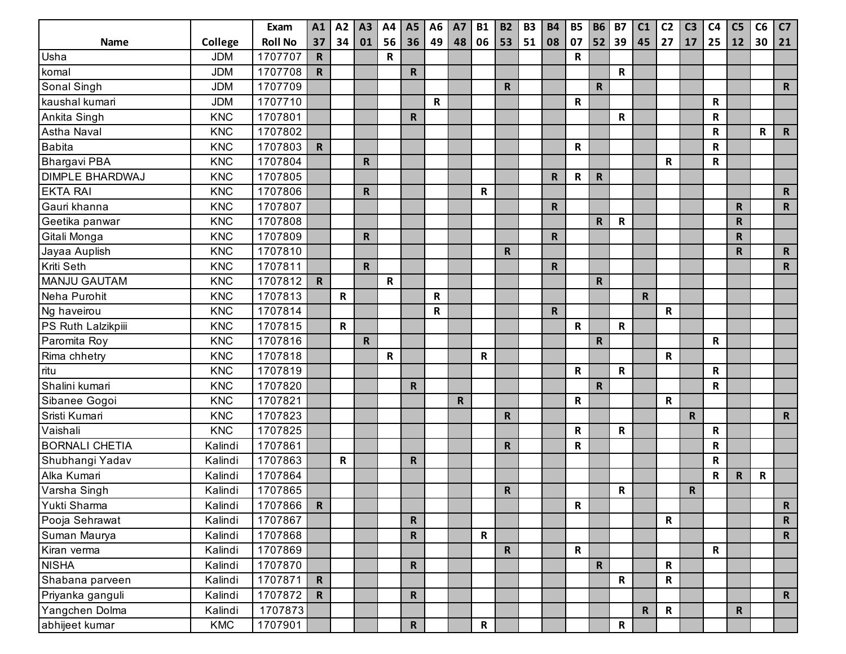|                        |            | Exam           | A1           | A2           | A3                      | A4          | <b>A5</b>    | A <sub>6</sub> | <b>A7</b>    | <b>B1</b>    | <b>B2</b>    | <b>B3</b> | <b>B4</b>    | <b>B5</b>    | <b>B6</b>    | <b>B7</b>    | C1          | C <sub>2</sub> | C <sub>3</sub> | C <sub>4</sub> | C <sub>5</sub> | C6 | C7           |
|------------------------|------------|----------------|--------------|--------------|-------------------------|-------------|--------------|----------------|--------------|--------------|--------------|-----------|--------------|--------------|--------------|--------------|-------------|----------------|----------------|----------------|----------------|----|--------------|
| Name                   | College    | <b>Roll No</b> | 37           | 34           | 01                      | 56          | 36           | 49             | 48           | 06           | 53           | 51        | 08           | 07           | 52           | 39           | 45          | 27             | 17             | 25             | 12             | 30 | 21           |
| Usha                   | <b>JDM</b> | 1707707        | $\mathsf R$  |              |                         | $\mathbf R$ |              |                |              |              |              |           |              | R            |              |              |             |                |                |                |                |    |              |
| komal                  | <b>JDM</b> | 1707708        | R.           |              |                         |             | $\mathbf R$  |                |              |              |              |           |              |              |              | R            |             |                |                |                |                |    |              |
| Sonal Singh            | <b>JDM</b> | 1707709        |              |              |                         |             |              |                |              |              | $\mathsf{R}$ |           |              |              | $\mathsf{R}$ |              |             |                |                |                |                |    | $\mathsf{R}$ |
| kaushal kumari         | <b>JDM</b> | 1707710        |              |              |                         |             |              | $\mathsf R$    |              |              |              |           |              | R            |              |              |             |                |                | R              |                |    |              |
| Ankita Singh           | <b>KNC</b> | 1707801        |              |              |                         |             | $\mathsf{R}$ |                |              |              |              |           |              |              |              | $\mathsf R$  |             |                |                | R              |                |    |              |
| Astha Naval            | <b>KNC</b> | 1707802        |              |              |                         |             |              |                |              |              |              |           |              |              |              |              |             |                |                | R              |                | R  | $\mathsf{R}$ |
| <b>Babita</b>          | <b>KNC</b> | 1707803        | $\mathsf{R}$ |              |                         |             |              |                |              |              |              |           |              | R            |              |              |             |                |                | R              |                |    |              |
| <b>Bhargavi PBA</b>    | <b>KNC</b> | 1707804        |              |              | R                       |             |              |                |              |              |              |           |              |              |              |              |             | R              |                | R              |                |    |              |
| <b>DIMPLE BHARDWAJ</b> | <b>KNC</b> | 1707805        |              |              |                         |             |              |                |              |              |              |           | $\mathbf R$  | $\mathbf R$  | $\mathsf{R}$ |              |             |                |                |                |                |    |              |
| <b>EKTA RAI</b>        | <b>KNC</b> | 1707806        |              |              | $\mathsf R$             |             |              |                |              | R            |              |           |              |              |              |              |             |                |                |                |                |    | $\mathsf{R}$ |
| Gauri khanna           | <b>KNC</b> | 1707807        |              |              |                         |             |              |                |              |              |              |           | $\mathsf{R}$ |              |              |              |             |                |                |                | $\mathbf R$    |    | $\mathsf{R}$ |
| Geetika panwar         | <b>KNC</b> | 1707808        |              |              |                         |             |              |                |              |              |              |           |              |              | $\mathsf{R}$ | R            |             |                |                |                | $\mathsf R$    |    |              |
| Gitali Monga           | <b>KNC</b> | 1707809        |              |              | $\mathsf R$             |             |              |                |              |              |              |           | $\mathsf{R}$ |              |              |              |             |                |                |                | $\mathsf R$    |    |              |
| Jayaa Auplish          | <b>KNC</b> | 1707810        |              |              |                         |             |              |                |              |              | $\mathsf{R}$ |           |              |              |              |              |             |                |                |                | $\mathbf R$    |    | $\mathsf{R}$ |
| Kriti Seth             | <b>KNC</b> | 1707811        |              |              | $\overline{\mathsf{R}}$ |             |              |                |              |              |              |           | $\mathbf R$  |              |              |              |             |                |                |                |                |    | $\mathsf{R}$ |
| <b>MANJU GAUTAM</b>    | <b>KNC</b> | 1707812        | $\mathbf R$  |              |                         | $\mathbf R$ |              |                |              |              |              |           |              |              | $\mathsf{R}$ |              |             |                |                |                |                |    |              |
| Neha Purohit           | <b>KNC</b> | 1707813        |              | $\mathbf R$  |                         |             |              | R              |              |              |              |           |              |              |              |              | $\mathbf R$ |                |                |                |                |    |              |
| Ng haveirou            | <b>KNC</b> | 1707814        |              |              |                         |             |              | $\mathsf{R}$   |              |              |              |           | $\mathbf R$  |              |              |              |             | $\mathbf R$    |                |                |                |    |              |
| PS Ruth Lalzikpiii     | <b>KNC</b> | 1707815        |              | $\mathsf{R}$ |                         |             |              |                |              |              |              |           |              | $\mathbf R$  |              | R            |             |                |                |                |                |    |              |
| Paromita Roy           | <b>KNC</b> | 1707816        |              |              | $\mathsf{R}$            |             |              |                |              |              |              |           |              |              | $\mathsf R$  |              |             |                |                | R              |                |    |              |
| Rima chhetry           | <b>KNC</b> | 1707818        |              |              |                         | $\mathbf R$ |              |                |              | $\mathbf R$  |              |           |              |              |              |              |             | $\mathbf R$    |                |                |                |    |              |
| ritu                   | <b>KNC</b> | 1707819        |              |              |                         |             |              |                |              |              |              |           |              | R            |              | $\mathsf R$  |             |                |                | $\mathbf R$    |                |    |              |
| Shalini kumari         | <b>KNC</b> | 1707820        |              |              |                         |             | $\mathsf{R}$ |                |              |              |              |           |              |              | $\mathbf R$  |              |             |                |                | R              |                |    |              |
| Sibanee Gogoi          | <b>KNC</b> | 1707821        |              |              |                         |             |              |                | $\mathsf{R}$ |              |              |           |              | $\mathbf R$  |              |              |             | R              |                |                |                |    |              |
| Sristi Kumari          | <b>KNC</b> | 1707823        |              |              |                         |             |              |                |              |              | $\mathsf R$  |           |              |              |              |              |             |                | $\mathbf R$    |                |                |    | $\mathsf{R}$ |
| Vaishali               | <b>KNC</b> | 1707825        |              |              |                         |             |              |                |              |              |              |           |              | R            |              | R            |             |                |                | $\mathbf R$    |                |    |              |
| <b>BORNALI CHETIA</b>  | Kalindi    | 1707861        |              |              |                         |             |              |                |              |              | $\mathbf R$  |           |              | R            |              |              |             |                |                | $\mathbf R$    |                |    |              |
| Shubhangi Yadav        | Kalindi    | 1707863        |              | $\mathsf{R}$ |                         |             | $\mathsf{R}$ |                |              |              |              |           |              |              |              |              |             |                |                | R              |                |    |              |
| Alka Kumari            | Kalindi    | 1707864        |              |              |                         |             |              |                |              |              |              |           |              |              |              |              |             |                |                | R              | $\mathsf{R}$   | R  |              |
| Varsha Singh           | Kalindi    | 1707865        |              |              |                         |             |              |                |              |              | $\mathsf R$  |           |              |              |              | R            |             |                | $\mathbf R$    |                |                |    |              |
| Yukti Sharma           | Kalindi    | 1707866        | $\mathsf{R}$ |              |                         |             |              |                |              |              |              |           |              | $\mathsf{R}$ |              |              |             |                |                |                |                |    | $\mathsf{R}$ |
| Pooja Sehrawat         | Kalindi    | 1707867        |              |              |                         |             | $\mathbf R$  |                |              |              |              |           |              |              |              |              |             | $\mathbf R$    |                |                |                |    | $\mathsf{R}$ |
| Suman Maurya           | Kalindi    | 1707868        |              |              |                         |             | $\mathbf R$  |                |              | $\mathsf{R}$ |              |           |              |              |              |              |             |                |                |                |                |    | $\mathsf{R}$ |
| Kiran verma            | Kalindi    | 1707869        |              |              |                         |             |              |                |              |              | $\mathbf R$  |           |              | $\mathsf{R}$ |              |              |             |                |                | $\mathsf{R}$   |                |    |              |
| <b>NISHA</b>           | Kalindi    | 1707870        |              |              |                         |             | $\mathbf R$  |                |              |              |              |           |              |              | $\mathbf R$  |              |             | $\mathbf R$    |                |                |                |    |              |
| Shabana parveen        | Kalindi    | 1707871        | $\mathbf R$  |              |                         |             |              |                |              |              |              |           |              |              |              | $\mathsf{R}$ |             | $\mathbf R$    |                |                |                |    |              |
| Priyanka ganguli       | Kalindi    | 1707872        | $\mathsf{R}$ |              |                         |             | $\mathbf R$  |                |              |              |              |           |              |              |              |              |             |                |                |                |                |    | $\mathsf{R}$ |
| Yangchen Dolma         | Kalindi    | 1707873        |              |              |                         |             |              |                |              |              |              |           |              |              |              |              | $\mathbf R$ | $\mathsf{R}$   |                |                | $\mathbf R$    |    |              |
| abhijeet kumar         | KMC        | 1707901        |              |              |                         |             | $\mathsf{R}$ |                |              | $\mathsf{R}$ |              |           |              |              |              | $\mathsf{R}$ |             |                |                |                |                |    |              |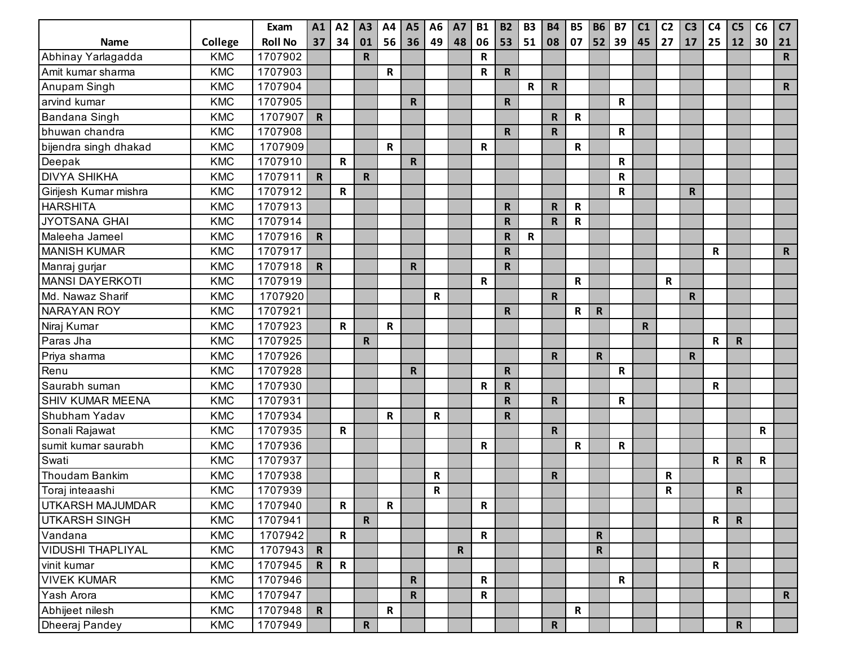|                          |            | Exam           | A1           | A2           | A3           | A4           | <b>A5</b>    | A <sub>6</sub> | <b>A7</b>   | <b>B1</b>    | <b>B2</b>    | <b>B3</b>   | <b>B4</b>               | <b>B5</b>    | <b>B6</b>    | <b>B7</b>    | C <sub>1</sub> | C <sub>2</sub> | C <sub>3</sub> | C <sub>4</sub> | C <sub>5</sub> | C6 | C <sub>7</sub> |
|--------------------------|------------|----------------|--------------|--------------|--------------|--------------|--------------|----------------|-------------|--------------|--------------|-------------|-------------------------|--------------|--------------|--------------|----------------|----------------|----------------|----------------|----------------|----|----------------|
| <b>Name</b>              | College    | <b>Roll No</b> | 37           | 34           | 01           | 56           | 36           | 49             | 48          | 06           | 53           | 51          | 08                      | 07           | 52           | 39           | 45             | 27             | 17             | 25             | 12             | 30 | 21             |
| Abhinay Yarlagadda       | <b>KMC</b> | 1707902        |              |              | $\mathsf{R}$ |              |              |                |             | R            |              |             |                         |              |              |              |                |                |                |                |                |    | $\mathsf{R}$   |
| Amit kumar sharma        | <b>KMC</b> | 1707903        |              |              |              | R            |              |                |             | R            | $\mathbf R$  |             |                         |              |              |              |                |                |                |                |                |    |                |
| Anupam Singh             | <b>KMC</b> | 1707904        |              |              |              |              |              |                |             |              |              | $\mathbf R$ | $\mathbf R$             |              |              |              |                |                |                |                |                |    | $\mathsf{R}$   |
| arvind kumar             | <b>KMC</b> | 1707905        |              |              |              |              | $\mathsf{R}$ |                |             |              | ${\sf R}$    |             |                         |              |              | R            |                |                |                |                |                |    |                |
| Bandana Singh            | <b>KMC</b> | 1707907        | $\mathsf{R}$ |              |              |              |              |                |             |              |              |             | $\mathbf R$             | R            |              |              |                |                |                |                |                |    |                |
| bhuwan chandra           | <b>KMC</b> | 1707908        |              |              |              |              |              |                |             |              | $\mathbf R$  |             | $\overline{\mathsf{R}}$ |              |              | R            |                |                |                |                |                |    |                |
| bijendra singh dhakad    | <b>KMC</b> | 1707909        |              |              |              | $\mathbf R$  |              |                |             | R            |              |             |                         | $\mathbf R$  |              |              |                |                |                |                |                |    |                |
| Deepak                   | <b>KMC</b> | 1707910        |              | $\mathbf R$  |              |              | $\mathsf{R}$ |                |             |              |              |             |                         |              |              | R            |                |                |                |                |                |    |                |
| <b>DIVYA SHIKHA</b>      | <b>KMC</b> | 1707911        | $\mathbf R$  |              | $\mathbf R$  |              |              |                |             |              |              |             |                         |              |              | $\mathsf{R}$ |                |                |                |                |                |    |                |
| Girijesh Kumar mishra    | <b>KMC</b> | 1707912        |              | ${\sf R}$    |              |              |              |                |             |              |              |             |                         |              |              | $\mathsf R$  |                |                | $\mathsf{R}$   |                |                |    |                |
| <b>HARSHITA</b>          | <b>KMC</b> | 1707913        |              |              |              |              |              |                |             |              | $\mathbf R$  |             | $\mathsf{R}$            | R            |              |              |                |                |                |                |                |    |                |
| <b>JYOTSANA GHAI</b>     | <b>KMC</b> | 1707914        |              |              |              |              |              |                |             |              | $\mathsf{R}$ |             | $\mathbf R$             | $\mathsf R$  |              |              |                |                |                |                |                |    |                |
| Maleeha Jameel           | <b>KMC</b> | 1707916        | $\mathsf{R}$ |              |              |              |              |                |             |              | $\mathsf R$  | $\mathbf R$ |                         |              |              |              |                |                |                |                |                |    |                |
| <b>MANISH KUMAR</b>      | <b>KMC</b> | 1707917        |              |              |              |              |              |                |             |              | $\mathbf R$  |             |                         |              |              |              |                |                |                | R              |                |    | $\mathbf R$    |
| Manraj gurjar            | <b>KMC</b> | 1707918        | $\mathsf{R}$ |              |              |              | $\mathsf{R}$ |                |             |              | $\mathbf R$  |             |                         |              |              |              |                |                |                |                |                |    |                |
| <b>MANSI DAYERKOTI</b>   | <b>KMC</b> | 1707919        |              |              |              |              |              |                |             | R            |              |             |                         | $\mathbf R$  |              |              |                | $\mathbf R$    |                |                |                |    |                |
| Md. Nawaz Sharif         | <b>KMC</b> | 1707920        |              |              |              |              |              | R              |             |              |              |             | $\mathsf{R}$            |              |              |              |                |                | $\mathsf{R}$   |                |                |    |                |
| <b>NARAYAN ROY</b>       | <b>KMC</b> | 1707921        |              |              |              |              |              |                |             |              | $\mathbf R$  |             |                         | $\mathbf R$  | $\mathsf{R}$ |              |                |                |                |                |                |    |                |
| Niraj Kumar              | <b>KMC</b> | 1707923        |              | R            |              | $\mathbf R$  |              |                |             |              |              |             |                         |              |              |              | $\mathsf R$    |                |                |                |                |    |                |
| Paras Jha                | <b>KMC</b> | 1707925        |              |              | R            |              |              |                |             |              |              |             |                         |              |              |              |                |                |                | R              | $\mathsf{R}$   |    |                |
| Priya sharma             | <b>KMC</b> | 1707926        |              |              |              |              |              |                |             |              |              |             | $\mathbf R$             |              | $\mathsf{R}$ |              |                |                | $\mathsf{R}$   |                |                |    |                |
| Renu                     | <b>KMC</b> | 1707928        |              |              |              |              | R.           |                |             |              | $\mathsf{R}$ |             |                         |              |              | R            |                |                |                |                |                |    |                |
| Saurabh suman            | <b>KMC</b> | 1707930        |              |              |              |              |              |                |             | R            | $\mathbf R$  |             |                         |              |              |              |                |                |                | R              |                |    |                |
| <b>SHIV KUMAR MEENA</b>  | <b>KMC</b> | 1707931        |              |              |              |              |              |                |             |              | $\mathsf{R}$ |             | $\mathbf R$             |              |              | R            |                |                |                |                |                |    |                |
| Shubham Yadav            | <b>KMC</b> | 1707934        |              |              |              | $\mathbf R$  |              | R              |             |              | $\mathsf{R}$ |             |                         |              |              |              |                |                |                |                |                |    |                |
| Sonali Rajawat           | <b>KMC</b> | 1707935        |              | R            |              |              |              |                |             |              |              |             | $\mathsf{R}$            |              |              |              |                |                |                |                |                | R  |                |
| sumit kumar saurabh      | <b>KMC</b> | 1707936        |              |              |              |              |              |                |             | R            |              |             |                         | R            |              | $\mathsf R$  |                |                |                |                |                |    |                |
| Swati                    | <b>KMC</b> | 1707937        |              |              |              |              |              |                |             |              |              |             |                         |              |              |              |                |                |                | R              | $\mathsf{R}$   | R  |                |
| <b>Thoudam Bankim</b>    | <b>KMC</b> | 1707938        |              |              |              |              |              | R              |             |              |              |             | R                       |              |              |              |                | R              |                |                |                |    |                |
| Toraj inteaashi          | <b>KMC</b> | 1707939        |              |              |              |              |              | R              |             |              |              |             |                         |              |              |              |                | R              |                |                | $\mathsf R$    |    |                |
| UTKARSH MAJUMDAR         | <b>KMC</b> | 1707940        |              | $\mathsf{R}$ |              | $\mathsf{R}$ |              |                |             | $\mathbf R$  |              |             |                         |              |              |              |                |                |                |                |                |    |                |
| <b>UTKARSH SINGH</b>     | <b>KMC</b> | 1707941        |              |              | $\mathsf{R}$ |              |              |                |             |              |              |             |                         |              |              |              |                |                |                | $\mathsf{R}$   | $\mathbf R$    |    |                |
| Vandana                  | <b>KMC</b> | 1707942        |              | $\mathbf R$  |              |              |              |                |             | $\mathsf{R}$ |              |             |                         |              | $\mathbf R$  |              |                |                |                |                |                |    |                |
| <b>VIDUSHI THAPLIYAL</b> | <b>KMC</b> | 1707943        | $\mathsf{R}$ |              |              |              |              |                | $\mathsf R$ |              |              |             |                         |              | $\mathbf R$  |              |                |                |                |                |                |    |                |
| vinit kumar              | <b>KMC</b> | 1707945        | $\mathsf{R}$ | $\mathsf{R}$ |              |              |              |                |             |              |              |             |                         |              |              |              |                |                |                | $\mathsf{R}$   |                |    |                |
| <b>VIVEK KUMAR</b>       | <b>KMC</b> | 1707946        |              |              |              |              | $\mathsf{R}$ |                |             | $\mathsf{R}$ |              |             |                         |              |              | R            |                |                |                |                |                |    |                |
| Yash Arora               | <b>KMC</b> | 1707947        |              |              |              |              | $\mathbf R$  |                |             | $\mathbf R$  |              |             |                         |              |              |              |                |                |                |                |                |    | $\mathsf{R}$   |
| Abhijeet nilesh          | <b>KMC</b> | 1707948        | $\mathsf{R}$ |              |              | $\mathbf R$  |              |                |             |              |              |             |                         | $\mathsf{R}$ |              |              |                |                |                |                |                |    |                |
| Dheeraj Pandey           | KMC        | 1707949        |              |              | $\mathsf{R}$ |              |              |                |             |              |              |             | $\mathsf{R}$            |              |              |              |                |                |                |                | $\mathbf R$    |    |                |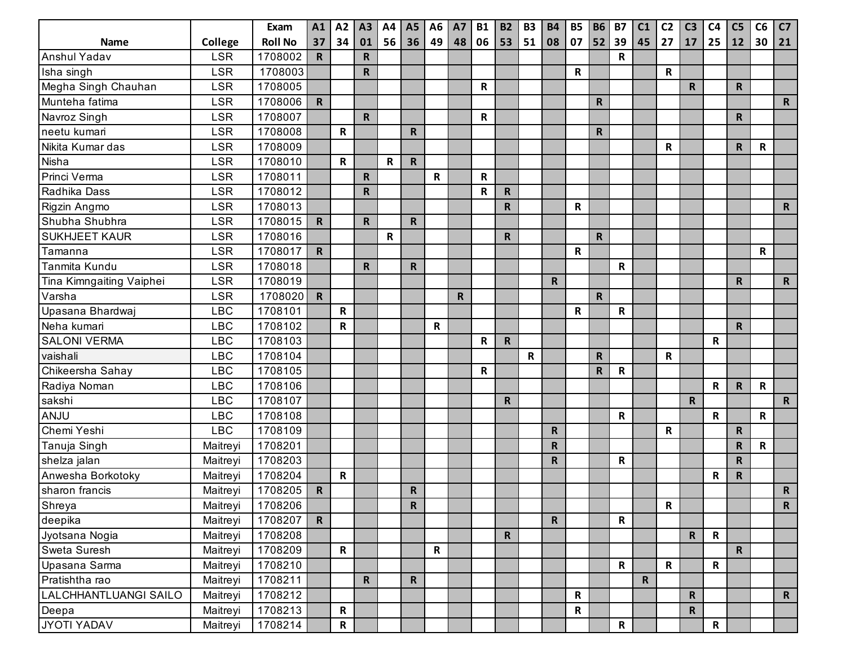|                          |            | Exam           | A1           | A2          | A3           | A4          | <b>A5</b>    | A <sub>6</sub> | <b>A7</b>   | <b>B1</b> | <b>B2</b>    | <b>B3</b>   | <b>B4</b>    | <b>B5</b>    | <b>B6</b>    | <b>B7</b>    | C1          | C <sub>2</sub> | C <sub>3</sub> | C <sub>4</sub> | C <sub>5</sub> | C6          | C7           |
|--------------------------|------------|----------------|--------------|-------------|--------------|-------------|--------------|----------------|-------------|-----------|--------------|-------------|--------------|--------------|--------------|--------------|-------------|----------------|----------------|----------------|----------------|-------------|--------------|
| <b>Name</b>              | College    | <b>Roll No</b> | 37           | 34          | 01           | 56          | 36           | 49             | 48          | 06        | 53           | 51          | 08           | 07           | 52           | 39           | 45          | 27             | 17             | 25             | 12             | 30          | 21           |
| Anshul Yadav             | <b>LSR</b> | 1708002        | $\mathbf R$  |             | $\mathsf R$  |             |              |                |             |           |              |             |              |              |              | $\mathsf R$  |             |                |                |                |                |             |              |
| Isha singh               | <b>LSR</b> | 1708003        |              |             | $\mathsf R$  |             |              |                |             |           |              |             |              | R            |              |              |             | $\mathbf R$    |                |                |                |             |              |
| Megha Singh Chauhan      | <b>LSR</b> | 1708005        |              |             |              |             |              |                |             | R         |              |             |              |              |              |              |             |                | $\mathsf{R}$   |                | $\mathbf R$    |             |              |
| Munteha fatima           | <b>LSR</b> | 1708006        | $\mathsf{R}$ |             |              |             |              |                |             |           |              |             |              |              | ${\sf R}$    |              |             |                |                |                |                |             | $\mathsf{R}$ |
| Navroz Singh             | <b>LSR</b> | 1708007        |              |             | $\mathsf{R}$ |             |              |                |             | ${\sf R}$ |              |             |              |              |              |              |             |                |                |                | $\mathsf R$    |             |              |
| neetu kumari             | <b>LSR</b> | 1708008        |              | $\mathbf R$ |              |             | R            |                |             |           |              |             |              |              | $\mathsf{R}$ |              |             |                |                |                |                |             |              |
| Nikita Kumar das         | <b>LSR</b> | 1708009        |              |             |              |             |              |                |             |           |              |             |              |              |              |              |             | R              |                |                | $\mathbf R$    | R           |              |
| Nisha                    | <b>LSR</b> | 1708010        |              | $\mathbf R$ |              | R           | $\mathsf{R}$ |                |             |           |              |             |              |              |              |              |             |                |                |                |                |             |              |
| Princi Verma             | <b>LSR</b> | 1708011        |              |             | $\mathsf{R}$ |             |              | ${\sf R}$      |             | R         |              |             |              |              |              |              |             |                |                |                |                |             |              |
| Radhika Dass             | <b>LSR</b> | 1708012        |              |             | $\mathsf{R}$ |             |              |                |             | R         | $\mathbf R$  |             |              |              |              |              |             |                |                |                |                |             |              |
| Rigzin Angmo             | <b>LSR</b> | 1708013        |              |             |              |             |              |                |             |           | ${\sf R}$    |             |              | R            |              |              |             |                |                |                |                |             | $\mathsf{R}$ |
| Shubha Shubhra           | <b>LSR</b> | 1708015        | $\mathbf R$  |             | $\mathbf R$  |             | $\mathsf{R}$ |                |             |           |              |             |              |              |              |              |             |                |                |                |                |             |              |
| <b>SUKHJEET KAUR</b>     | <b>LSR</b> | 1708016        |              |             |              | $\mathbf R$ |              |                |             |           | $\mathsf{R}$ |             |              |              | $\mathsf{R}$ |              |             |                |                |                |                |             |              |
| Tamanna                  | <b>LSR</b> | 1708017        | $\mathsf{R}$ |             |              |             |              |                |             |           |              |             |              | R            |              |              |             |                |                |                |                | R           |              |
| Tanmita Kundu            | <b>LSR</b> | 1708018        |              |             | R            |             | $\mathsf{R}$ |                |             |           |              |             |              |              |              | R            |             |                |                |                |                |             |              |
| Tina Kimngaiting Vaiphei | <b>LSR</b> | 1708019        |              |             |              |             |              |                |             |           |              |             | $\mathbf R$  |              |              |              |             |                |                |                | R              |             | $\mathsf{R}$ |
| Varsha                   | <b>LSR</b> | 1708020        | $\mathbf R$  |             |              |             |              |                | $\mathsf R$ |           |              |             |              |              | $\mathsf{R}$ |              |             |                |                |                |                |             |              |
| Upasana Bhardwaj         | <b>LBC</b> | 1708101        |              | ${\sf R}$   |              |             |              |                |             |           |              |             |              | R            |              | R            |             |                |                |                |                |             |              |
| Neha kumari              | <b>LBC</b> | 1708102        |              | ${\sf R}$   |              |             |              | $\mathbf R$    |             |           |              |             |              |              |              |              |             |                |                |                | $\mathbf R$    |             |              |
| <b>SALONI VERMA</b>      | <b>LBC</b> | 1708103        |              |             |              |             |              |                |             | R         | $\mathbf R$  |             |              |              |              |              |             |                |                | R              |                |             |              |
| vaishali                 | <b>LBC</b> | 1708104        |              |             |              |             |              |                |             |           |              | $\mathbf R$ |              |              | $\mathsf{R}$ |              |             | R              |                |                |                |             |              |
| Chikeersha Sahay         | <b>LBC</b> | 1708105        |              |             |              |             |              |                |             | R         |              |             |              |              | $\mathsf{R}$ | $\mathsf R$  |             |                |                |                |                |             |              |
| Radiya Noman             | <b>LBC</b> | 1708106        |              |             |              |             |              |                |             |           |              |             |              |              |              |              |             |                |                | $\mathsf{R}$   | $\mathbf R$    | $\mathbf R$ |              |
| sakshi                   | <b>LBC</b> | 1708107        |              |             |              |             |              |                |             |           | $\mathbf R$  |             |              |              |              |              |             |                | $\mathbf R$    |                |                |             | $\mathsf{R}$ |
| ANJU                     | <b>LBC</b> | 1708108        |              |             |              |             |              |                |             |           |              |             |              |              |              | R            |             |                |                | $\mathsf{R}$   |                | $\mathsf R$ |              |
| Chemi Yeshi              | <b>LBC</b> | 1708109        |              |             |              |             |              |                |             |           |              |             | R            |              |              |              |             | $\mathbf R$    |                |                | ${\sf R}$      |             |              |
| Tanuja Singh             | Maitreyi   | 1708201        |              |             |              |             |              |                |             |           |              |             | R.           |              |              |              |             |                |                |                | $\mathsf R$    | R           |              |
| shelza jalan             | Maitreyi   | 1708203        |              |             |              |             |              |                |             |           |              |             | R.           |              |              | ${\sf R}$    |             |                |                |                | $\mathsf R$    |             |              |
| Anwesha Borkotoky        | Maitreyi   | 1708204        |              | ${\sf R}$   |              |             |              |                |             |           |              |             |              |              |              |              |             |                |                | R              | $\mathbf R$    |             |              |
| sharon francis           | Maitreyi   | 1708205        | $\mathbf R$  |             |              |             | $\mathbf R$  |                |             |           |              |             |              |              |              |              |             |                |                |                |                |             | $\mathsf{R}$ |
| Shreya                   | Maitreyi   | 1708206        |              |             |              |             | $\mathbf R$  |                |             |           |              |             |              |              |              |              |             | $\mathbf R$    |                |                |                |             | $\mathsf{R}$ |
| deepika                  | Maitreyi   | 1708207        | $\mathbf R$  |             |              |             |              |                |             |           |              |             | $\mathsf{R}$ |              |              | $\mathsf{R}$ |             |                |                |                |                |             |              |
| Jyotsana Nogia           | Maitreyi   | 1708208        |              |             |              |             |              |                |             |           | $\mathsf{R}$ |             |              |              |              |              |             |                | $\mathbf R$    | $\mathbf R$    |                |             |              |
| Sweta Suresh             | Maitreyi   | 1708209        |              | $\mathbf R$ |              |             |              | $\mathsf R$    |             |           |              |             |              |              |              |              |             |                |                |                | $\mathbf R$    |             |              |
| Upasana Sarma            | Maitreyi   | 1708210        |              |             |              |             |              |                |             |           |              |             |              |              |              | $\mathsf{R}$ |             | $\mathbf R$    |                | $\mathsf{R}$   |                |             |              |
| Pratishtha rao           | Maitreyi   | 1708211        |              |             | $\mathbf R$  |             | $\mathbf R$  |                |             |           |              |             |              |              |              |              | $\mathbf R$ |                |                |                |                |             |              |
| LALCHHANTLUANGI SAILO    | Maitreyi   | 1708212        |              |             |              |             |              |                |             |           |              |             |              | $\mathsf{R}$ |              |              |             |                | $\mathbf R$    |                |                |             | $\mathsf{R}$ |
| Deepa                    | Maitreyi   | 1708213        |              | $\mathsf R$ |              |             |              |                |             |           |              |             |              | $\mathbf R$  |              |              |             |                | $\mathbf R$    |                |                |             |              |
| JYOTI YADAV              | Maitreyi   | 1708214        |              | $\mathbf R$ |              |             |              |                |             |           |              |             |              |              |              | $\mathbf R$  |             |                |                | $\mathsf{R}$   |                |             |              |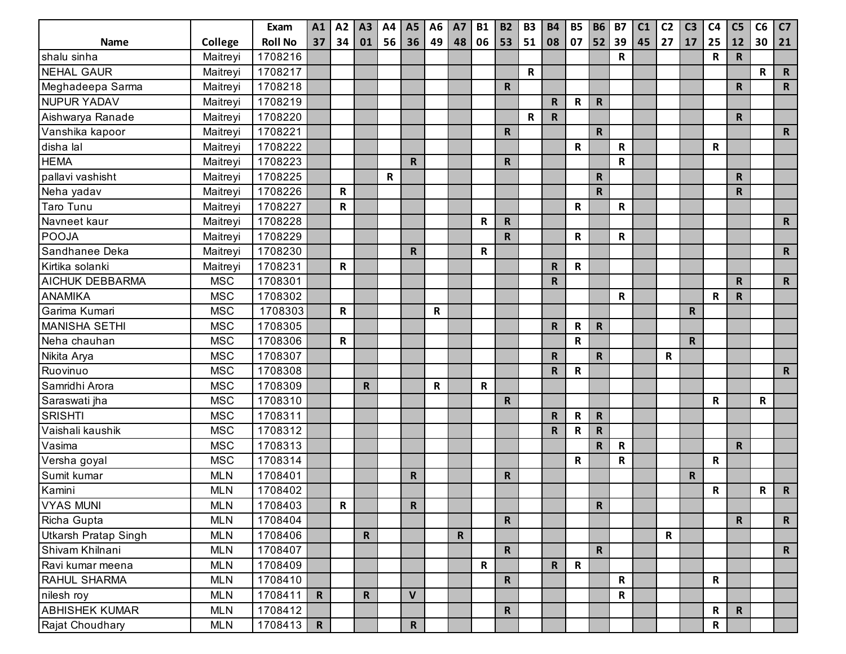|                             |            | Exam           | A1           | A2          | A3          | A4 | A <sub>5</sub> | A <sub>6</sub> | <b>A7</b>   | <b>B1</b>    | <b>B2</b>    | <b>B3</b>   | <b>B4</b>    | <b>B5</b>    | <b>B6</b>    | <b>B7</b>   | C1 | C <sub>2</sub> | C <sub>3</sub> | C <sub>4</sub> | C <sub>5</sub> | C6 | C7           |
|-----------------------------|------------|----------------|--------------|-------------|-------------|----|----------------|----------------|-------------|--------------|--------------|-------------|--------------|--------------|--------------|-------------|----|----------------|----------------|----------------|----------------|----|--------------|
| <b>Name</b>                 | College    | <b>Roll No</b> | 37           | 34          | 01          | 56 | 36             | 49             | 48          | 06           | 53           | 51          | 08           | 07           | 52           | 39          | 45 | 27             | 17             | 25             | 12             | 30 | 21           |
| shalu sinha                 | Maitreyi   | 1708216        |              |             |             |    |                |                |             |              |              |             |              |              |              | R           |    |                |                | R              | $\mathsf{R}$   |    |              |
| <b>NEHAL GAUR</b>           | Maitreyi   | 1708217        |              |             |             |    |                |                |             |              |              | R           |              |              |              |             |    |                |                |                |                | R  | $\mathsf{R}$ |
| Meghadeepa Sarma            | Maitreyi   | 1708218        |              |             |             |    |                |                |             |              | $\mathsf{R}$ |             |              |              |              |             |    |                |                |                | $\mathbf R$    |    | $\mathsf{R}$ |
| <b>NUPUR YADAV</b>          | Maitreyi   | 1708219        |              |             |             |    |                |                |             |              |              |             | R            | R            | $\mathsf R$  |             |    |                |                |                |                |    |              |
| Aishwarya Ranade            | Maitreyi   | 1708220        |              |             |             |    |                |                |             |              |              | $\mathbf R$ | $\mathbf R$  |              |              |             |    |                |                |                | $\mathsf{R}$   |    |              |
| Vanshika kapoor             | Maitreyi   | 1708221        |              |             |             |    |                |                |             |              | ${\sf R}$    |             |              |              | $\mathbf R$  |             |    |                |                |                |                |    | $\mathsf{R}$ |
| disha lal                   | Maitreyi   | 1708222        |              |             |             |    |                |                |             |              |              |             |              | R            |              | R           |    |                |                | $\mathsf R$    |                |    |              |
| <b>HEMA</b>                 | Maitreyi   | 1708223        |              |             |             |    | R              |                |             |              | $\mathsf{R}$ |             |              |              |              | $\mathsf R$ |    |                |                |                |                |    |              |
| pallavi vashisht            | Maitreyi   | 1708225        |              |             |             | R  |                |                |             |              |              |             |              |              | $\mathsf R$  |             |    |                |                |                | $\mathbf R$    |    |              |
| Neha yadav                  | Maitreyi   | 1708226        |              | $\mathbf R$ |             |    |                |                |             |              |              |             |              |              | $\mathsf R$  |             |    |                |                |                | R              |    |              |
| <b>Taro Tunu</b>            | Maitreyi   | 1708227        |              | $\mathbf R$ |             |    |                |                |             |              |              |             |              | R            |              | $\mathsf R$ |    |                |                |                |                |    |              |
| Navneet kaur                | Maitreyi   | 1708228        |              |             |             |    |                |                |             | R            | ${\sf R}$    |             |              |              |              |             |    |                |                |                |                |    | $\mathsf{R}$ |
| <b>POOJA</b>                | Maitreyi   | 1708229        |              |             |             |    |                |                |             |              | ${\sf R}$    |             |              | R            |              | $\mathbf R$ |    |                |                |                |                |    |              |
| Sandhanee Deka              | Maitreyi   | 1708230        |              |             |             |    | R              |                |             | R            |              |             |              |              |              |             |    |                |                |                |                |    | $\mathsf{R}$ |
| Kirtika solanki             | Maitreyi   | 1708231        |              | $\mathbf R$ |             |    |                |                |             |              |              |             | R            | $\mathsf R$  |              |             |    |                |                |                |                |    |              |
| AICHUK DEBBARMA             | <b>MSC</b> | 1708301        |              |             |             |    |                |                |             |              |              |             | R            |              |              |             |    |                |                |                | $\mathbf R$    |    | $\mathsf{R}$ |
| <b>ANAMIKA</b>              | <b>MSC</b> | 1708302        |              |             |             |    |                |                |             |              |              |             |              |              |              | R           |    |                |                | R              | $\mathsf{R}$   |    |              |
| Garima Kumari               | <b>MSC</b> | 1708303        |              | R           |             |    |                | R              |             |              |              |             |              |              |              |             |    |                | R              |                |                |    |              |
| <b>MANISHA SETHI</b>        | <b>MSC</b> | 1708305        |              |             |             |    |                |                |             |              |              |             | R            | $\mathsf R$  | $\mathsf R$  |             |    |                |                |                |                |    |              |
| Neha chauhan                | <b>MSC</b> | 1708306        |              | $\mathbf R$ |             |    |                |                |             |              |              |             |              | $\mathsf{R}$ |              |             |    |                | $\mathsf{R}$   |                |                |    |              |
| Nikita Arya                 | <b>MSC</b> | 1708307        |              |             |             |    |                |                |             |              |              |             | R            |              | $\mathsf R$  |             |    | R              |                |                |                |    |              |
| Ruovinuo                    | <b>MSC</b> | 1708308        |              |             |             |    |                |                |             |              |              |             | R            | $\mathsf R$  |              |             |    |                |                |                |                |    | $\mathsf{R}$ |
| Samridhi Arora              | <b>MSC</b> | 1708309        |              |             | $\mathbf R$ |    |                | R              |             | R            |              |             |              |              |              |             |    |                |                |                |                |    |              |
| Saraswati jha               | <b>MSC</b> | 1708310        |              |             |             |    |                |                |             |              | ${\sf R}$    |             |              |              |              |             |    |                |                | R              |                | R  |              |
| <b>SRISHTI</b>              | <b>MSC</b> | 1708311        |              |             |             |    |                |                |             |              |              |             | R            | R            | $\mathsf R$  |             |    |                |                |                |                |    |              |
| Vaishali kaushik            | <b>MSC</b> | 1708312        |              |             |             |    |                |                |             |              |              |             | $\mathsf{R}$ | R            | $\mathsf R$  |             |    |                |                |                |                |    |              |
| Vasima                      | <b>MSC</b> | 1708313        |              |             |             |    |                |                |             |              |              |             |              |              | $\mathsf{R}$ | R           |    |                |                |                | $\mathbf R$    |    |              |
| Versha goyal                | <b>MSC</b> | 1708314        |              |             |             |    |                |                |             |              |              |             |              | $\mathsf R$  |              | R           |    |                |                | ${\bf R}$      |                |    |              |
| Sumit kumar                 | <b>MLN</b> | 1708401        |              |             |             |    | $\mathbf R$    |                |             |              | $\mathsf{R}$ |             |              |              |              |             |    |                | R              |                |                |    |              |
| Kamini                      | <b>MLN</b> | 1708402        |              |             |             |    |                |                |             |              |              |             |              |              |              |             |    |                |                | R              |                | R  | $\mathsf{R}$ |
| <b>VYAS MUNI</b>            | <b>MLN</b> | 1708403        |              | $\mathbf R$ |             |    | R              |                |             |              |              |             |              |              | $\mathbf R$  |             |    |                |                |                |                |    |              |
| Richa Gupta                 | <b>MLN</b> | 1708404        |              |             |             |    |                |                |             |              | $\mathsf{R}$ |             |              |              |              |             |    |                |                |                | $\mathsf{R}$   |    | $\mathbf R$  |
| <b>Utkarsh Pratap Singh</b> | <b>MLN</b> | 1708406        |              |             | $\mathbf R$ |    |                |                | $\mathbf R$ |              |              |             |              |              |              |             |    | $\mathbf R$    |                |                |                |    |              |
| Shivam Khilnani             | <b>MLN</b> | 1708407        |              |             |             |    |                |                |             |              | $\mathbf R$  |             |              |              | $\mathbf R$  |             |    |                |                |                |                |    | $\mathbf{R}$ |
| Ravi kumar meena            | <b>MLN</b> | 1708409        |              |             |             |    |                |                |             | $\mathsf{R}$ |              |             | $\mathsf{R}$ | $\mathbf R$  |              |             |    |                |                |                |                |    |              |
| <b>RAHUL SHARMA</b>         | <b>MLN</b> | 1708410        |              |             |             |    |                |                |             |              | $\mathsf{R}$ |             |              |              |              | $\mathbf R$ |    |                |                | $\mathbf R$    |                |    |              |
| nilesh roy                  | <b>MLN</b> | 1708411        | $\mathbf R$  |             | ${\sf R}$   |    | $\mathbf{V}$   |                |             |              |              |             |              |              |              | R           |    |                |                |                |                |    |              |
| <b>ABHISHEK KUMAR</b>       | <b>MLN</b> | 1708412        |              |             |             |    |                |                |             |              | $\mathsf{R}$ |             |              |              |              |             |    |                |                | R              | $\mathbf R$    |    |              |
| Rajat Choudhary             | <b>MLN</b> | 1708413        | $\mathsf{R}$ |             |             |    | $\mathbf R$    |                |             |              |              |             |              |              |              |             |    |                |                | $\mathsf{R}$   |                |    |              |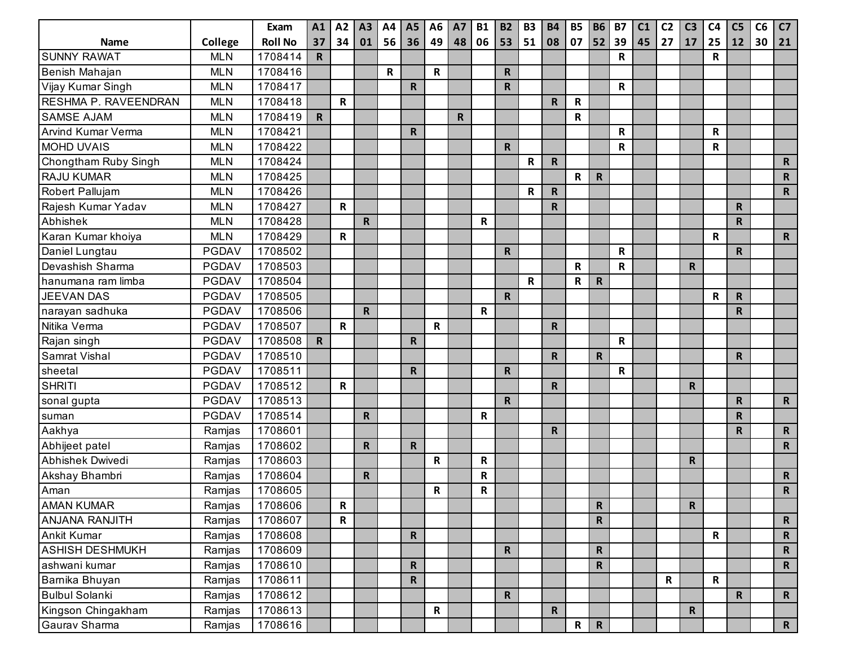|                           |              | Exam           | A1           | A2           | A3           | A4 | <b>A5</b>    | A <sub>6</sub> | <b>A7</b>   | <b>B1</b> | <b>B2</b>    | <b>B3</b>   | <b>B4</b>   | <b>B5</b>   | <b>B6</b>   | <b>B7</b>    | C <sub>1</sub> | C <sub>2</sub> | C <sub>3</sub> | C <sub>4</sub> | C <sub>5</sub> | C6 | C <sub>7</sub> |
|---------------------------|--------------|----------------|--------------|--------------|--------------|----|--------------|----------------|-------------|-----------|--------------|-------------|-------------|-------------|-------------|--------------|----------------|----------------|----------------|----------------|----------------|----|----------------|
| <b>Name</b>               | College      | <b>Roll No</b> | 37           | 34           | 01           | 56 | 36           | 49             | 48          | 06        | 53           | 51          | 08          | 07          | 52          | 39           | 45             | $\vert$ 27     | 17             | 25             | 12             | 30 | 21             |
| <b>SUNNY RAWAT</b>        | <b>MLN</b>   | 1708414        | $\mathsf{R}$ |              |              |    |              |                |             |           |              |             |             |             |             | $\mathsf{R}$ |                |                |                | $\mathsf R$    |                |    |                |
| Benish Mahajan            | <b>MLN</b>   | 1708416        |              |              |              | R  |              | R              |             |           | $\mathsf{R}$ |             |             |             |             |              |                |                |                |                |                |    |                |
| Vijay Kumar Singh         | <b>MLN</b>   | 1708417        |              |              |              |    | $\mathbf R$  |                |             |           | $\mathsf{R}$ |             |             |             |             | $\mathsf R$  |                |                |                |                |                |    |                |
| RESHMA P. RAVEENDRAN      | <b>MLN</b>   | 1708418        |              | $\mathbf R$  |              |    |              |                |             |           |              |             | R.          | R           |             |              |                |                |                |                |                |    |                |
| <b>SAMSE AJAM</b>         | <b>MLN</b>   | 1708419        | $\mathsf{R}$ |              |              |    |              |                | $\mathbf R$ |           |              |             |             | R           |             |              |                |                |                |                |                |    |                |
| <b>Arvind Kumar Verma</b> | <b>MLN</b>   | 1708421        |              |              |              |    | $\mathbf R$  |                |             |           |              |             |             |             |             | R            |                |                |                | R              |                |    |                |
| <b>MOHD UVAIS</b>         | <b>MLN</b>   | 1708422        |              |              |              |    |              |                |             |           | $\mathbf R$  |             |             |             |             | $\mathsf R$  |                |                |                | R              |                |    |                |
| Chongtham Ruby Singh      | <b>MLN</b>   | 1708424        |              |              |              |    |              |                |             |           |              | $\mathbf R$ | R.          |             |             |              |                |                |                |                |                |    | $\mathsf{R}$   |
| <b>RAJU KUMAR</b>         | <b>MLN</b>   | 1708425        |              |              |              |    |              |                |             |           |              |             |             | ${\sf R}$   | $\mathsf R$ |              |                |                |                |                |                |    | $\mathsf{R}$   |
| Robert Pallujam           | <b>MLN</b>   | 1708426        |              |              |              |    |              |                |             |           |              | $\mathbf R$ | R           |             |             |              |                |                |                |                |                |    | $\mathsf{R}$   |
| Rajesh Kumar Yadav        | <b>MLN</b>   | 1708427        |              | $\mathbf R$  |              |    |              |                |             |           |              |             | R.          |             |             |              |                |                |                |                | $\mathbf R$    |    |                |
| Abhishek                  | <b>MLN</b>   | 1708428        |              |              | $\mathsf{R}$ |    |              |                |             | R         |              |             |             |             |             |              |                |                |                |                | $\mathsf R$    |    |                |
| Karan Kumar khoiya        | <b>MLN</b>   | 1708429        |              | R            |              |    |              |                |             |           |              |             |             |             |             |              |                |                |                | R              |                |    | $\mathsf{R}$   |
| Daniel Lungtau            | PGDAV        | 1708502        |              |              |              |    |              |                |             |           | $\mathsf{R}$ |             |             |             |             | R            |                |                |                |                | $\mathsf{R}$   |    |                |
| Devashish Sharma          | <b>PGDAV</b> | 1708503        |              |              |              |    |              |                |             |           |              |             |             | ${\sf R}$   |             | $\mathsf{R}$ |                |                | $\mathsf{R}$   |                |                |    |                |
| hanumana ram limba        | PGDAV        | 1708504        |              |              |              |    |              |                |             |           |              | $\mathbf R$ |             | R           | $\mathbf R$ |              |                |                |                |                |                |    |                |
| <b>JEEVAN DAS</b>         | PGDAV        | 1708505        |              |              |              |    |              |                |             |           | $\mathsf{R}$ |             |             |             |             |              |                |                |                | R              | $\mathbf R$    |    |                |
| narayan sadhuka           | <b>PGDAV</b> | 1708506        |              |              | $\mathsf{R}$ |    |              |                |             | R         |              |             |             |             |             |              |                |                |                |                | $\mathsf R$    |    |                |
| Nitika Verma              | PGDAV        | 1708507        |              | $\mathbf R$  |              |    |              | R              |             |           |              |             | R           |             |             |              |                |                |                |                |                |    |                |
| Rajan singh               | PGDAV        | 1708508        | R            |              |              |    | $\mathsf{R}$ |                |             |           |              |             |             |             |             | $\mathsf R$  |                |                |                |                |                |    |                |
| Samrat Vishal             | <b>PGDAV</b> | 1708510        |              |              |              |    |              |                |             |           |              |             | R.          |             | $\mathsf R$ |              |                |                |                |                | $\mathsf R$    |    |                |
| sheetal                   | PGDAV        | 1708511        |              |              |              |    | R.           |                |             |           | $\mathsf{R}$ |             |             |             |             | ${\sf R}$    |                |                |                |                |                |    |                |
| <b>SHRITI</b>             | PGDAV        | 1708512        |              | $\mathsf{R}$ |              |    |              |                |             |           |              |             | R           |             |             |              |                |                | $\mathsf{R}$   |                |                |    |                |
| sonal gupta               | <b>PGDAV</b> | 1708513        |              |              |              |    |              |                |             |           | $\mathbf R$  |             |             |             |             |              |                |                |                |                | $\mathsf R$    |    | $\mathsf{R}$   |
| suman                     | PGDAV        | 1708514        |              |              | R            |    |              |                |             | R         |              |             |             |             |             |              |                |                |                |                | $\mathsf R$    |    |                |
| Aakhya                    | Ramjas       | 1708601        |              |              |              |    |              |                |             |           |              |             | R           |             |             |              |                |                |                |                | R.             |    | $\mathsf{R}$   |
| Abhijeet patel            | Ramjas       | 1708602        |              |              | $\mathsf{R}$ |    | $\mathbf R$  |                |             |           |              |             |             |             |             |              |                |                |                |                |                |    | $\mathsf{R}$   |
| Abhishek Dwivedi          | Ramjas       | 1708603        |              |              |              |    |              | R              |             | R         |              |             |             |             |             |              |                |                | $\mathsf{R}$   |                |                |    |                |
| Akshay Bhambri            | Ramjas       | 1708604        |              |              | R            |    |              |                |             | R         |              |             |             |             |             |              |                |                |                |                |                |    | $\mathsf{R}$   |
| Aman                      | Ramjas       | 1708605        |              |              |              |    |              | R              |             | R         |              |             |             |             |             |              |                |                |                |                |                |    | $\mathsf{R}$   |
| <b>AMAN KUMAR</b>         | Ramjas       | 1708606        |              | R            |              |    |              |                |             |           |              |             |             |             | $\mathbf R$ |              |                |                | $\mathbf R$    |                |                |    |                |
| <b>ANJANA RANJITH</b>     | Ramjas       | 1708607        |              | $\mathbf R$  |              |    |              |                |             |           |              |             |             |             | ${\sf R}$   |              |                |                |                |                |                |    | $\mathsf{R}$   |
| <b>Ankit Kumar</b>        | Ramjas       | 1708608        |              |              |              |    | R            |                |             |           |              |             |             |             |             |              |                |                |                | $\mathsf{R}$   |                |    | $\mathsf{R}$   |
| <b>ASHISH DESHMUKH</b>    | Ramjas       | 1708609        |              |              |              |    |              |                |             |           | $\mathbf R$  |             |             |             | $\mathsf R$ |              |                |                |                |                |                |    | $\mathsf{R}$   |
| ashwani kumar             | Ramjas       | 1708610        |              |              |              |    | $\mathsf{R}$ |                |             |           |              |             |             |             | ${\sf R}$   |              |                |                |                |                |                |    | $\mathsf{R}$   |
| Barnika Bhuyan            | Ramjas       | 1708611        |              |              |              |    | $\mathsf{R}$ |                |             |           |              |             |             |             |             |              |                | $\mathbf R$    |                | $\mathbf R$    |                |    |                |
| <b>Bulbul Solanki</b>     | Ramjas       | 1708612        |              |              |              |    |              |                |             |           | $\mathbf R$  |             |             |             |             |              |                |                |                |                | $\mathbf R$    |    | $\mathsf{R}$   |
| Kingson Chingakham        | Ramjas       | 1708613        |              |              |              |    |              | R              |             |           |              |             | $\mathbf R$ |             |             |              |                |                | $\mathbf R$    |                |                |    |                |
| Gaurav Sharma             | Ramjas       | 1708616        |              |              |              |    |              |                |             |           |              |             |             | $\mathbf R$ | $\mathbf R$ |              |                |                |                |                |                |    | $\mathbf R$    |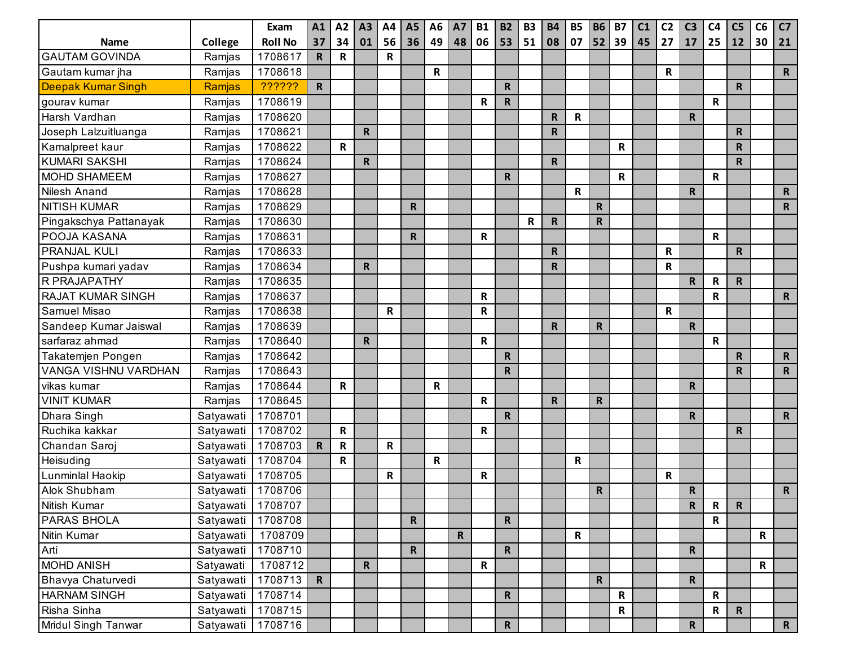|                           |           | Exam           | A1           | A2          | A3 | A4 | A <sub>5</sub> | A <sub>6</sub> | A7           | <b>B1</b> | <b>B2</b>    | <b>B3</b> | <b>B4</b> | <b>B5</b>    | <b>B6</b>    | <b>B7</b>    | C1 | C <sub>2</sub> | C <sub>3</sub> | C <sub>4</sub> | C <sub>5</sub> | C6 | C <sub>7</sub> |
|---------------------------|-----------|----------------|--------------|-------------|----|----|----------------|----------------|--------------|-----------|--------------|-----------|-----------|--------------|--------------|--------------|----|----------------|----------------|----------------|----------------|----|----------------|
| <b>Name</b>               | College   | <b>Roll No</b> | 37           | 34          | 01 | 56 | 36             | 49             | 48           | 06        | 53           | 51        | 08        | 07           |              | $52$ 39      | 45 | 27             | 17             | 25             | 12             | 30 | 21             |
| <b>GAUTAM GOVINDA</b>     | Ramjas    | 1708617        | $\mathbf R$  | R           |    | R  |                |                |              |           |              |           |           |              |              |              |    |                |                |                |                |    |                |
| Gautam kumar jha          | Ramjas    | 1708618        |              |             |    |    |                | R              |              |           |              |           |           |              |              |              |    | R              |                |                |                |    | $\mathsf{R}$   |
| <b>Deepak Kumar Singh</b> | Ramjas    | ??????         | $\mathsf{R}$ |             |    |    |                |                |              |           | $\mathbf R$  |           |           |              |              |              |    |                |                |                | $\mathbf R$    |    |                |
| gourav kumar              | Ramjas    | 1708619        |              |             |    |    |                |                |              | R         | ${\sf R}$    |           |           |              |              |              |    |                |                | $\mathbf R$    |                |    |                |
| Harsh Vardhan             | Ramjas    | 1708620        |              |             |    |    |                |                |              |           |              |           | R.        | R            |              |              |    |                | $\mathsf{R}$   |                |                |    |                |
| Joseph Lalzuitluanga      | Ramjas    | 1708621        |              |             | R  |    |                |                |              |           |              |           | R         |              |              |              |    |                |                |                | R              |    |                |
| Kamalpreet kaur           | Ramjas    | 1708622        |              | $\mathbf R$ |    |    |                |                |              |           |              |           |           |              |              | R            |    |                |                |                | R              |    |                |
| <b>KUMARI SAKSHI</b>      | Ramjas    | 1708624        |              |             | R  |    |                |                |              |           |              |           | R         |              |              |              |    |                |                |                | $\mathbf R$    |    |                |
| <b>MOHD SHAMEEM</b>       | Ramjas    | 1708627        |              |             |    |    |                |                |              |           | $\mathbf R$  |           |           |              |              | R            |    |                |                | $\mathbf R$    |                |    |                |
| Nilesh Anand              | Ramjas    | 1708628        |              |             |    |    |                |                |              |           |              |           |           | $\mathsf R$  |              |              |    |                | $\mathsf{R}$   |                |                |    | $\mathsf{R}$   |
| <b>NITISH KUMAR</b>       | Ramjas    | 1708629        |              |             |    |    | $\mathsf{R}$   |                |              |           |              |           |           |              | $\mathsf R$  |              |    |                |                |                |                |    | $\mathsf{R}$   |
| Pingakschya Pattanayak    | Ramjas    | 1708630        |              |             |    |    |                |                |              |           |              | R         | R         |              | $\mathsf R$  |              |    |                |                |                |                |    |                |
| POOJA KASANA              | Ramjas    | 1708631        |              |             |    |    | R.             |                |              | R         |              |           |           |              |              |              |    |                |                | $\mathbf R$    |                |    |                |
| <b>PRANJAL KULI</b>       | Ramjas    | 1708633        |              |             |    |    |                |                |              |           |              |           | R         |              |              |              |    | R              |                |                | $\mathsf R$    |    |                |
| Pushpa kumari yadav       | Ramjas    | 1708634        |              |             | R  |    |                |                |              |           |              |           | R         |              |              |              |    | R              |                |                |                |    |                |
| R PRAJAPATHY              | Ramjas    | 1708635        |              |             |    |    |                |                |              |           |              |           |           |              |              |              |    |                | $\mathsf{R}$   | $\mathsf R$    | $\mathsf{R}$   |    |                |
| <b>RAJAT KUMAR SINGH</b>  | Ramjas    | 1708637        |              |             |    |    |                |                |              | R         |              |           |           |              |              |              |    |                |                | R              |                |    | $\mathsf{R}$   |
| Samuel Misao              | Ramjas    | 1708638        |              |             |    | R  |                |                |              | R         |              |           |           |              |              |              |    | R              |                |                |                |    |                |
| Sandeep Kumar Jaiswal     | Ramjas    | 1708639        |              |             |    |    |                |                |              |           |              |           | R.        |              | $\mathsf{R}$ |              |    |                | $\mathbf R$    |                |                |    |                |
| sarfaraz ahmad            | Ramjas    | 1708640        |              |             | R  |    |                |                |              | R         |              |           |           |              |              |              |    |                |                | R              |                |    |                |
| Takatemjen Pongen         | Ramjas    | 1708642        |              |             |    |    |                |                |              |           | R            |           |           |              |              |              |    |                |                |                | $\mathsf R$    |    | $\mathsf{R}$   |
| VANGA VISHNU VARDHAN      | Ramjas    | 1708643        |              |             |    |    |                |                |              |           | $\mathsf R$  |           |           |              |              |              |    |                |                |                | R.             |    | $\mathsf{R}$   |
| vikas kumar               | Ramjas    | 1708644        |              | R           |    |    |                | R              |              |           |              |           |           |              |              |              |    |                | $\mathsf{R}$   |                |                |    |                |
| <b>VINIT KUMAR</b>        | Ramjas    | 1708645        |              |             |    |    |                |                |              | R         |              |           | R         |              | $\mathsf{R}$ |              |    |                |                |                |                |    |                |
| Dhara Singh               | Satyawati | 1708701        |              |             |    |    |                |                |              |           | $\mathsf{R}$ |           |           |              |              |              |    |                | $\mathsf{R}$   |                |                |    | $\mathbf R$    |
| Ruchika kakkar            | Satyawati | 1708702        |              | $\mathbf R$ |    |    |                |                |              | R         |              |           |           |              |              |              |    |                |                |                | R              |    |                |
| Chandan Saroj             | Satyawati | 1708703        | $\mathsf{R}$ | $\mathsf R$ |    | R  |                |                |              |           |              |           |           |              |              |              |    |                |                |                |                |    |                |
| Heisuding                 | Satyawati | 1708704        |              | R           |    |    |                | R              |              |           |              |           |           | R            |              |              |    |                |                |                |                |    |                |
| Lunminlal Haokip          | Satyawati | 1708705        |              |             |    | R  |                |                |              | R         |              |           |           |              |              |              |    | $\mathbf R$    |                |                |                |    |                |
| Alok Shubham              | Satyawati | 1708706        |              |             |    |    |                |                |              |           |              |           |           |              | $\mathbf R$  |              |    |                | $\mathbf R$    |                |                |    | $\mathsf{R}$   |
| Nitish Kumar              | Satyawati | 1708707        |              |             |    |    |                |                |              |           |              |           |           |              |              |              |    |                | $\mathbf R$    | $\mathbf R$    | R              |    |                |
| <b>PARAS BHOLA</b>        | Satyawati | 1708708        |              |             |    |    | $\mathbf R$    |                |              |           | $\mathsf R$  |           |           |              |              |              |    |                |                | $\mathsf{R}$   |                |    |                |
| Nitin Kumar               | Satyawati | 1708709        |              |             |    |    |                |                | $\mathsf{R}$ |           |              |           |           | $\mathsf{R}$ |              |              |    |                |                |                |                | R  |                |
| Arti                      | Satyawati | 1708710        |              |             |    |    | $\mathsf{R}$   |                |              |           | $\mathbf R$  |           |           |              |              |              |    |                | $\mathbf R$    |                |                |    |                |
| <b>MOHD ANISH</b>         | Satyawati | 1708712        |              |             | R  |    |                |                |              | R         |              |           |           |              |              |              |    |                |                |                |                | R  |                |
| Bhavya Chaturvedi         | Satyawati | 1708713        | $\mathsf{R}$ |             |    |    |                |                |              |           |              |           |           |              | $\mathbf R$  |              |    |                | $\mathbf R$    |                |                |    |                |
| <b>HARNAM SINGH</b>       | Satyawati | 1708714        |              |             |    |    |                |                |              |           | $\mathbf R$  |           |           |              |              | $\mathsf{R}$ |    |                |                | $\mathsf{R}$   |                |    |                |
| Risha Sinha               | Satyawati | 1708715        |              |             |    |    |                |                |              |           |              |           |           |              |              | $\mathsf R$  |    |                |                | $\mathsf R$    | $\mathbf R$    |    |                |
| Mridul Singh Tanwar       | Satyawati | 1708716        |              |             |    |    |                |                |              |           | $\mathbf R$  |           |           |              |              |              |    |                | $\mathbf R$    |                |                |    | R              |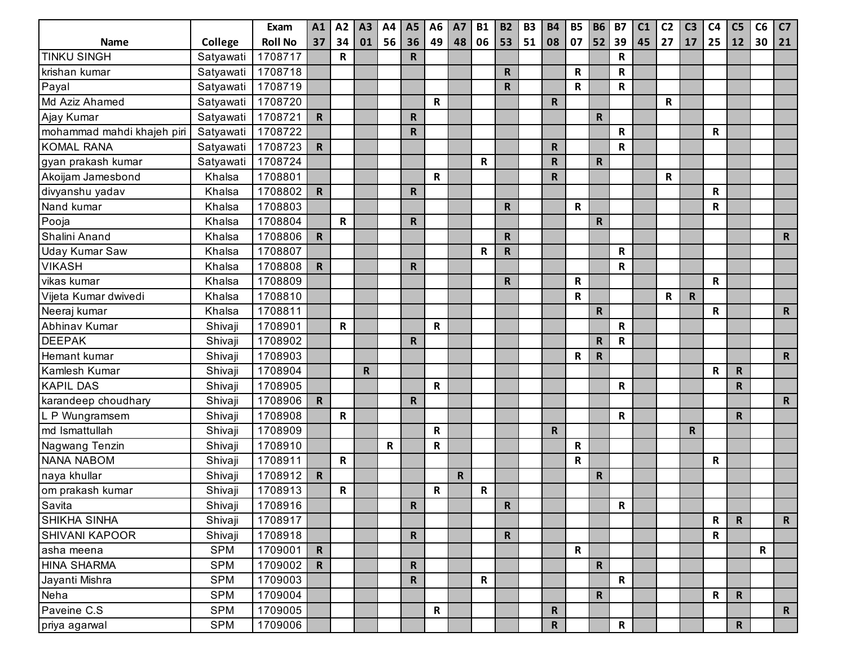|                            |            | Exam           | A1           | A2           | A3        | A4 | A <sub>5</sub> | A <sub>6</sub> | <b>A7</b>   | <b>B1</b> | <b>B2</b>    | <b>B3</b> | <b>B4</b>    | <b>B5</b>   | <b>B6</b>    | <b>B7</b>   | C1 | C <sub>2</sub> | C <sub>3</sub> | C <sub>4</sub> | C <sub>5</sub> | C6 | C7           |
|----------------------------|------------|----------------|--------------|--------------|-----------|----|----------------|----------------|-------------|-----------|--------------|-----------|--------------|-------------|--------------|-------------|----|----------------|----------------|----------------|----------------|----|--------------|
| <b>Name</b>                | College    | <b>Roll No</b> | 37           | 34           | 01        | 56 | 36             | 49             | 48          | 06        | 53           | 51        | 08           | 07          | 52           | 39          | 45 | 27             | 17             | 25             | 12             | 30 | 21           |
| <b>TINKU SINGH</b>         | Satyawati  | 1708717        |              | R            |           |    | $\mathsf{R}$   |                |             |           |              |           |              |             |              | ${\sf R}$   |    |                |                |                |                |    |              |
| krishan kumar              | Satyawati  | 1708718        |              |              |           |    |                |                |             |           | $\mathsf R$  |           |              | R           |              | R           |    |                |                |                |                |    |              |
| Payal                      | Satyawati  | 1708719        |              |              |           |    |                |                |             |           | $\mathsf{R}$ |           |              | R           |              | $\mathsf R$ |    |                |                |                |                |    |              |
| Md Aziz Ahamed             | Satyawati  | 1708720        |              |              |           |    |                | R              |             |           |              |           | R            |             |              |             |    | $\mathbf R$    |                |                |                |    |              |
| Ajay Kumar                 | Satyawati  | 1708721        | $\mathbf R$  |              |           |    | R              |                |             |           |              |           |              |             | $\mathbf R$  |             |    |                |                |                |                |    |              |
| mohammad mahdi khajeh piri | Satyawati  | 1708722        |              |              |           |    | $\mathsf{R}$   |                |             |           |              |           |              |             |              | $\mathsf R$ |    |                |                | R              |                |    |              |
| <b>KOMAL RANA</b>          | Satyawati  | 1708723        | ${\sf R}$    |              |           |    |                |                |             |           |              |           | R            |             |              | ${\sf R}$   |    |                |                |                |                |    |              |
| gyan prakash kumar         | Satyawati  | 1708724        |              |              |           |    |                |                |             | R         |              |           | R            |             | $\mathbf R$  |             |    |                |                |                |                |    |              |
| Akoijam Jamesbond          | Khalsa     | 1708801        |              |              |           |    |                | $\mathbf R$    |             |           |              |           | R.           |             |              |             |    | R              |                |                |                |    |              |
| divyanshu yadav            | Khalsa     | 1708802        | $\mathsf{R}$ |              |           |    | R              |                |             |           |              |           |              |             |              |             |    |                |                | R              |                |    |              |
| Nand kumar                 | Khalsa     | 1708803        |              |              |           |    |                |                |             |           | $\mathsf{R}$ |           |              | $\mathsf R$ |              |             |    |                |                | R              |                |    |              |
| Pooja                      | Khalsa     | 1708804        |              | $\mathbf R$  |           |    | $\mathsf{R}$   |                |             |           |              |           |              |             | $\mathsf R$  |             |    |                |                |                |                |    |              |
| Shalini Anand              | Khalsa     | 1708806        | ${\sf R}$    |              |           |    |                |                |             |           | $\mathbf R$  |           |              |             |              |             |    |                |                |                |                |    | $\mathsf{R}$ |
| Uday Kumar Saw             | Khalsa     | 1708807        |              |              |           |    |                |                |             | R         | $\mathsf R$  |           |              |             |              | R           |    |                |                |                |                |    |              |
| <b>VIKASH</b>              | Khalsa     | 1708808        | $\mathsf{R}$ |              |           |    | $\mathsf{R}$   |                |             |           |              |           |              |             |              | R           |    |                |                |                |                |    |              |
| vikas kumar                | Khalsa     | 1708809        |              |              |           |    |                |                |             |           | ${\sf R}$    |           |              | R           |              |             |    |                |                | $\mathbf R$    |                |    |              |
| Vijeta Kumar dwivedi       | Khalsa     | 1708810        |              |              |           |    |                |                |             |           |              |           |              | R           |              |             |    | $\mathbf R$    | R              |                |                |    |              |
| Neeraj kumar               | Khalsa     | 1708811        |              |              |           |    |                |                |             |           |              |           |              |             | $\mathsf R$  |             |    |                |                | R              |                |    | $\mathbf R$  |
| Abhinav Kumar              | Shivaji    | 1708901        |              | $\mathbf R$  |           |    |                | R              |             |           |              |           |              |             |              | R           |    |                |                |                |                |    |              |
| <b>DEEPAK</b>              | Shivaji    | 1708902        |              |              |           |    | $\mathbf R$    |                |             |           |              |           |              |             | $\mathsf R$  | $\mathsf R$ |    |                |                |                |                |    |              |
| Hemant kumar               | Shivaji    | 1708903        |              |              |           |    |                |                |             |           |              |           |              | R           | $\mathsf{R}$ |             |    |                |                |                |                |    | $\mathsf{R}$ |
| Kamlesh Kumar              | Shivaji    | 1708904        |              |              | ${\sf R}$ |    |                |                |             |           |              |           |              |             |              |             |    |                |                | R              | R              |    |              |
| <b>KAPIL DAS</b>           | Shivaji    | 1708905        |              |              |           |    |                | R              |             |           |              |           |              |             |              | ${\sf R}$   |    |                |                |                | R              |    |              |
| karandeep choudhary        | Shivaji    | 1708906        | $\mathsf{R}$ |              |           |    | $\mathsf{R}$   |                |             |           |              |           |              |             |              |             |    |                |                |                |                |    | $\mathsf{R}$ |
| L P Wungramsem             | Shivaji    | 1708908        |              | $\mathbf R$  |           |    |                |                |             |           |              |           |              |             |              | $\mathbf R$ |    |                |                |                | $\mathbf R$    |    |              |
| md Ismattullah             | Shivaji    | 1708909        |              |              |           |    |                | $\mathbf R$    |             |           |              |           | R.           |             |              |             |    |                | R              |                |                |    |              |
| Nagwang Tenzin             | Shivaji    | 1708910        |              |              |           | R  |                | R              |             |           |              |           |              | $\mathsf R$ |              |             |    |                |                |                |                |    |              |
| <b>NANA NABOM</b>          | Shivaji    | 1708911        |              | $\mathbf R$  |           |    |                |                |             |           |              |           |              | R           |              |             |    |                |                | $\mathsf R$    |                |    |              |
| naya khullar               | Shivaji    | 1708912        | $\mathbf R$  |              |           |    |                |                | $\mathbf R$ |           |              |           |              |             | $\mathsf R$  |             |    |                |                |                |                |    |              |
| om prakash kumar           | Shivaji    | 1708913        |              | $\mathsf{R}$ |           |    |                | R              |             | R         |              |           |              |             |              |             |    |                |                |                |                |    |              |
| Savita                     | Shivaji    | 1708916        |              |              |           |    | R              |                |             |           | $\mathbf R$  |           |              |             |              | $\mathbf R$ |    |                |                |                |                |    |              |
| <b>SHIKHA SINHA</b>        | Shivaji    | 1708917        |              |              |           |    |                |                |             |           |              |           |              |             |              |             |    |                |                | $\mathsf{R}$   | $\mathsf{R}$   |    | $\mathbf R$  |
| <b>SHIVANI KAPOOR</b>      | Shivaji    | 1708918        |              |              |           |    | $\mathbf R$    |                |             |           | $\mathbf R$  |           |              |             |              |             |    |                |                | R              |                |    |              |
| asha meena                 | <b>SPM</b> | 1709001        | $\mathbf R$  |              |           |    |                |                |             |           |              |           |              | R           |              |             |    |                |                |                |                | R  |              |
| <b>HINA SHARMA</b>         | <b>SPM</b> | 1709002        | $\mathbf R$  |              |           |    | $\mathbf R$    |                |             |           |              |           |              |             | $\mathbf R$  |             |    |                |                |                |                |    |              |
| Jayanti Mishra             | <b>SPM</b> | 1709003        |              |              |           |    | $\mathsf{R}$   |                |             | R         |              |           |              |             |              | $\mathsf R$ |    |                |                |                |                |    |              |
| Neha                       | <b>SPM</b> | 1709004        |              |              |           |    |                |                |             |           |              |           |              |             | ${\sf R}$    |             |    |                |                | R              | $\mathbf R$    |    |              |
| Paveine C.S                | <b>SPM</b> | 1709005        |              |              |           |    |                | R              |             |           |              |           | R            |             |              |             |    |                |                |                |                |    | $\mathsf{R}$ |
| priya agarwal              | <b>SPM</b> | 1709006        |              |              |           |    |                |                |             |           |              |           | $\mathsf{R}$ |             |              | $\mathbf R$ |    |                |                |                | $\mathbf R$    |    |              |